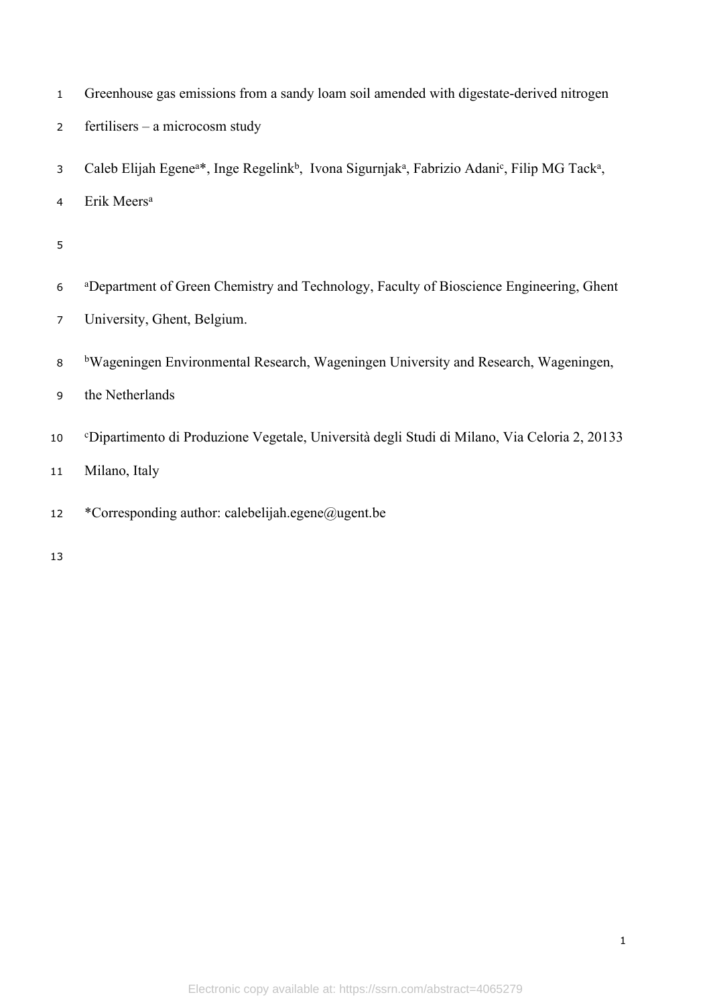| $\mathbf{1}$   | Greenhouse gas emissions from a sandy loam soil amended with digestate-derived nitrogen                                                                   |
|----------------|-----------------------------------------------------------------------------------------------------------------------------------------------------------|
| $\overline{2}$ | fertilisers – a microcosm study                                                                                                                           |
| 3              | Caleb Elijah Egene <sup>a*</sup> , Inge Regelink <sup>b</sup> , Ivona Sigurnjak <sup>a</sup> , Fabrizio Adani <sup>c</sup> , Filip MG Tack <sup>a</sup> , |
| 4              | Erik Meers <sup>a</sup>                                                                                                                                   |
| 5              |                                                                                                                                                           |
| 6              | <sup>a</sup> Department of Green Chemistry and Technology, Faculty of Bioscience Engineering, Ghent                                                       |
| $\overline{7}$ | University, Ghent, Belgium.                                                                                                                               |
| 8              | <sup>b</sup> Wageningen Environmental Research, Wageningen University and Research, Wageningen,                                                           |
| 9              | the Netherlands                                                                                                                                           |
| 10             | <sup>c</sup> Dipartimento di Produzione Vegetale, Università degli Studi di Milano, Via Celoria 2, 20133                                                  |
| 11             | Milano, Italy                                                                                                                                             |
| 12             | *Corresponding author: calebelijah.egene@ugent.be                                                                                                         |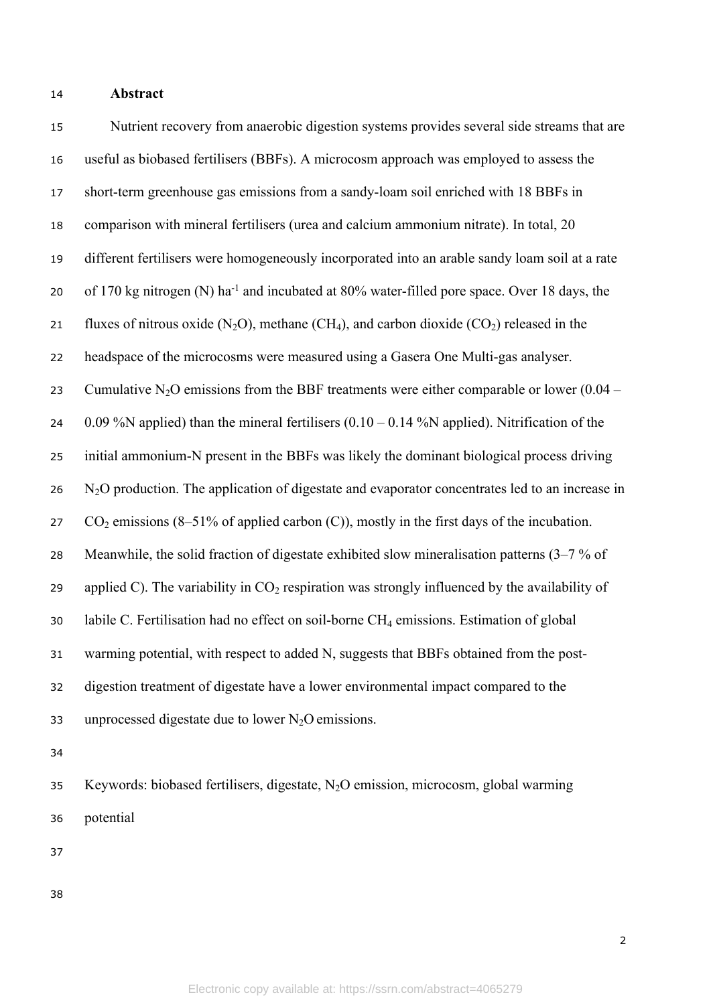### **Abstract**

 Nutrient recovery from anaerobic digestion systems provides several side streams that are useful as biobased fertilisers (BBFs). A microcosm approach was employed to assess the short-term greenhouse gas emissions from a sandy-loam soil enriched with 18 BBFs in comparison with mineral fertilisers (urea and calcium ammonium nitrate). In total, 20 different fertilisers were homogeneously incorporated into an arable sandy loam soil at a rate of 170 kg nitrogen (N) ha-1 and incubated at 80% water-filled pore space. Over 18 days, the 21 fluxes of nitrous oxide  $(N_2O)$ , methane  $(CH_4)$ , and carbon dioxide  $(CO_2)$  released in the headspace of the microcosms were measured using a Gasera One Multi-gas analyser. 23 Cumulative N<sub>2</sub>O emissions from the BBF treatments were either comparable or lower  $(0.04 -$ 24 0.09 %N applied) than the mineral fertilisers  $(0.10 - 0.14$  %N applied). Nitrification of the initial ammonium-N present in the BBFs was likely the dominant biological process driving N<sub>2</sub>O production. The application of digestate and evaporator concentrates led to an increase in 27  $CO_2$  emissions (8–51% of applied carbon (C)), mostly in the first days of the incubation. Meanwhile, the solid fraction of digestate exhibited slow mineralisation patterns (3–7 % of 29 applied C). The variability in  $CO<sub>2</sub>$  respiration was strongly influenced by the availability of labile C. Fertilisation had no effect on soil-borne CH4 emissions. Estimation of global warming potential, with respect to added N, suggests that BBFs obtained from the post- digestion treatment of digestate have a lower environmental impact compared to the 33 unprocessed digestate due to lower  $N_2O$  emissions.

 Keywords: biobased fertilisers, digestate, N2O emission, microcosm, global warming potential

- 
-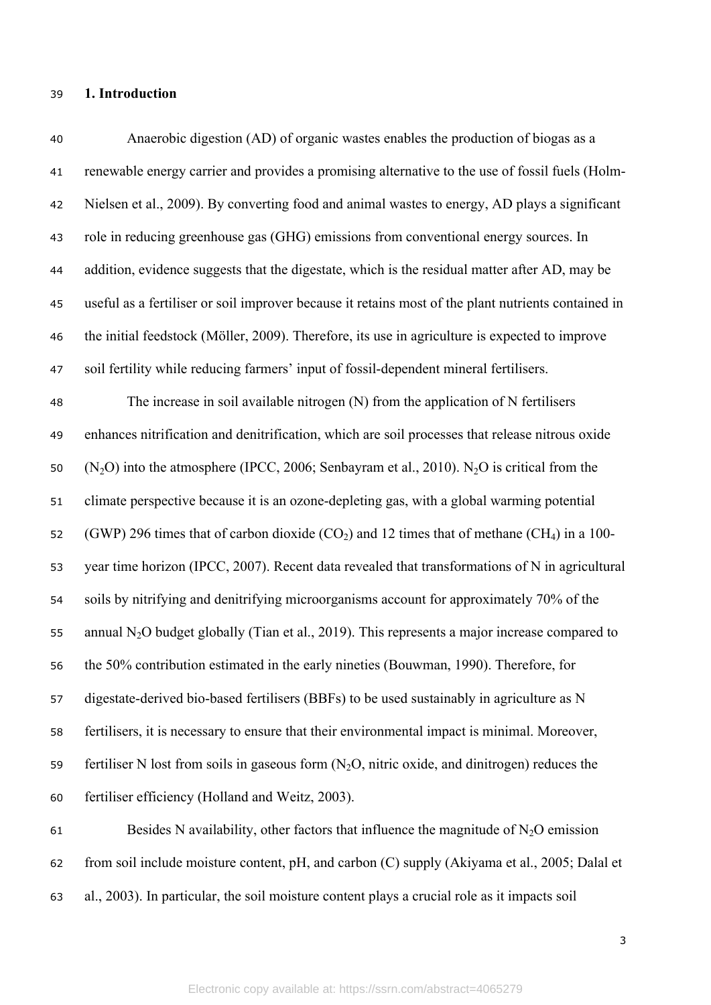### **1. Introduction**

 Anaerobic digestion (AD) of organic wastes enables the production of biogas as a renewable energy carrier and provides a promising alternative to the use of fossil fuels (Holm- Nielsen et al., 2009). By converting food and animal wastes to energy, AD plays a significant role in reducing greenhouse gas (GHG) emissions from conventional energy sources. In addition, evidence suggests that the digestate, which is the residual matter after AD, may be useful as a fertiliser or soil improver because it retains most of the plant nutrients contained in the initial feedstock (Möller, 2009). Therefore, its use in agriculture is expected to improve soil fertility while reducing farmers' input of fossil-dependent mineral fertilisers. The increase in soil available nitrogen (N) from the application of N fertilisers enhances nitrification and denitrification, which are soil processes that release nitrous oxide 50 (N<sub>2</sub>O) into the atmosphere (IPCC, 2006; Senbayram et al., 2010). N<sub>2</sub>O is critical from the climate perspective because it is an ozone-depleting gas, with a global warming potential 52 (GWP) 296 times that of carbon dioxide  $(CO<sub>2</sub>)$  and 12 times that of methane  $(CH<sub>4</sub>)$  in a 100- year time horizon (IPCC, 2007). Recent data revealed that transformations of N in agricultural soils by nitrifying and denitrifying microorganisms account for approximately 70% of the 55 annual  $N_2O$  budget globally (Tian et al., 2019). This represents a major increase compared to the 50% contribution estimated in the early nineties (Bouwman, 1990). Therefore, for digestate-derived bio-based fertilisers (BBFs) to be used sustainably in agriculture as N fertilisers, it is necessary to ensure that their environmental impact is minimal. Moreover, 59 fertiliser N lost from soils in gaseous form  $(N<sub>2</sub>O, n$  nitric oxide, and dinitrogen) reduces the fertiliser efficiency (Holland and Weitz, 2003). 61 Besides N availability, other factors that influence the magnitude of  $N_2O$  emission

from soil include moisture content, pH, and carbon (C) supply (Akiyama et al., 2005; Dalal et

al., 2003). In particular, the soil moisture content plays a crucial role as it impacts soil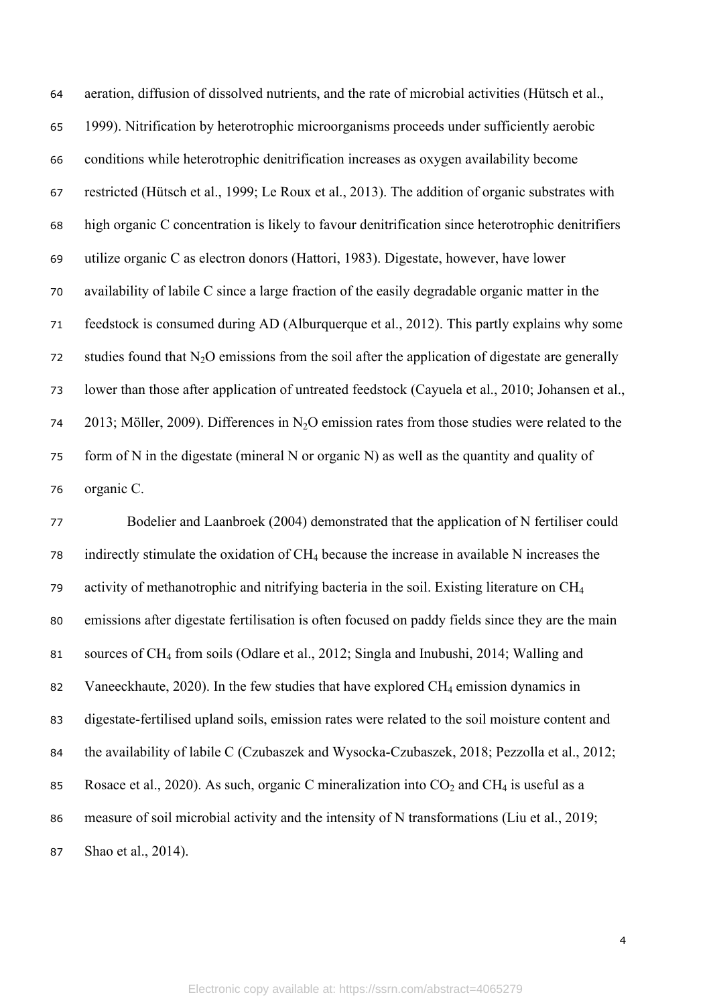aeration, diffusion of dissolved nutrients, and the rate of microbial activities (Hütsch et al., 1999). Nitrification by heterotrophic microorganisms proceeds under sufficiently aerobic conditions while heterotrophic denitrification increases as oxygen availability become restricted (Hütsch et al., 1999; Le Roux et al., 2013). The addition of organic substrates with high organic C concentration is likely to favour denitrification since heterotrophic denitrifiers utilize organic C as electron donors (Hattori, 1983). Digestate, however, have lower availability of labile C since a large fraction of the easily degradable organic matter in the feedstock is consumed during AD (Alburquerque et al., 2012). This partly explains why some 72 studies found that  $N_2O$  emissions from the soil after the application of digestate are generally lower than those after application of untreated feedstock (Cayuela et al., 2010; Johansen et al., 74 2013; Möller, 2009). Differences in N<sub>2</sub>O emission rates from those studies were related to the form of N in the digestate (mineral N or organic N) as well as the quantity and quality of organic C.

 Bodelier and Laanbroek (2004) demonstrated that the application of N fertiliser could indirectly stimulate the oxidation of CH4 because the increase in available N increases the activity of methanotrophic and nitrifying bacteria in the soil. Existing literature on CH<sup>4</sup> emissions after digestate fertilisation is often focused on paddy fields since they are the main sources of CH4 from soils (Odlare et al., 2012; Singla and Inubushi, 2014; Walling and 82 Vaneeckhaute, 2020). In the few studies that have explored  $CH_4$  emission dynamics in digestate-fertilised upland soils, emission rates were related to the soil moisture content and the availability of labile C (Czubaszek and Wysocka-Czubaszek, 2018; Pezzolla et al., 2012; 85 Rosace et al., 2020). As such, organic C mineralization into  $CO_2$  and CH<sub>4</sub> is useful as a measure of soil microbial activity and the intensity of N transformations (Liu et al., 2019; Shao et al., 2014).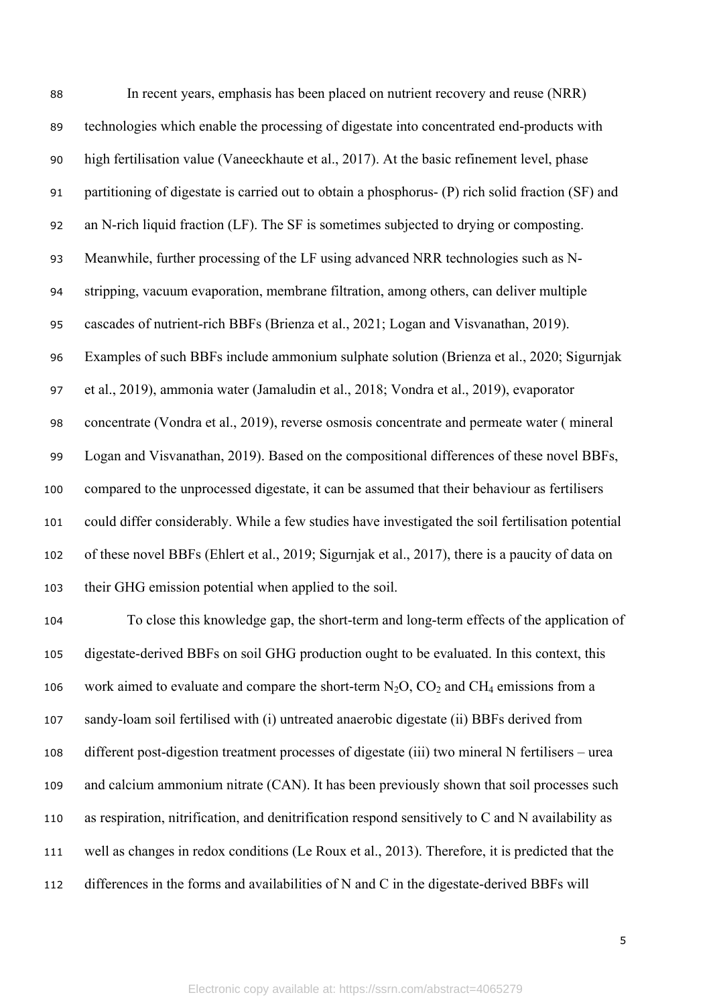| 88  | In recent years, emphasis has been placed on nutrient recovery and reuse (NRR)                    |
|-----|---------------------------------------------------------------------------------------------------|
| 89  | technologies which enable the processing of digestate into concentrated end-products with         |
| 90  | high fertilisation value (Vaneeckhaute et al., 2017). At the basic refinement level, phase        |
| 91  | partitioning of digestate is carried out to obtain a phosphorus- (P) rich solid fraction (SF) and |
| 92  | an N-rich liquid fraction (LF). The SF is sometimes subjected to drying or composting.            |
| 93  | Meanwhile, further processing of the LF using advanced NRR technologies such as N-                |
| 94  | stripping, vacuum evaporation, membrane filtration, among others, can deliver multiple            |
| 95  | cascades of nutrient-rich BBFs (Brienza et al., 2021; Logan and Visvanathan, 2019).               |
| 96  | Examples of such BBFs include ammonium sulphate solution (Brienza et al., 2020; Sigurnjak         |
| 97  | et al., 2019), ammonia water (Jamaludin et al., 2018; Vondra et al., 2019), evaporator            |
| 98  | concentrate (Vondra et al., 2019), reverse osmosis concentrate and permeate water (mineral        |
| 99  | Logan and Visvanathan, 2019). Based on the compositional differences of these novel BBFs,         |
| 100 | compared to the unprocessed digestate, it can be assumed that their behaviour as fertilisers      |
| 101 | could differ considerably. While a few studies have investigated the soil fertilisation potential |
| 102 | of these novel BBFs (Ehlert et al., 2019; Sigurnjak et al., 2017), there is a paucity of data on  |
| 103 | their GHG emission potential when applied to the soil.                                            |
| 104 | To close this knowledge gap, the short-term and long-term effects of the application of           |
| 105 | digestate-derived BBFs on soil GHG production ought to be evaluated. In this context, this        |
| 106 | work aimed to evaluate and compare the short-term $N_2O$ , $CO_2$ and $CH_4$ emissions from a     |
| 107 | sandy-loam soil fertilised with (i) untreated anaerobic digestate (ii) BBFs derived from          |
| 108 | different post-digestion treatment processes of digestate (iii) two mineral N fertilisers – urea  |
| 109 | and calcium ammonium nitrate (CAN). It has been previously shown that soil processes such         |
| 110 | as respiration, nitrification, and denitrification respond sensitively to C and N availability as |
| 111 | well as changes in redox conditions (Le Roux et al., 2013). Therefore, it is predicted that the   |

differences in the forms and availabilities of N and C in the digestate-derived BBFs will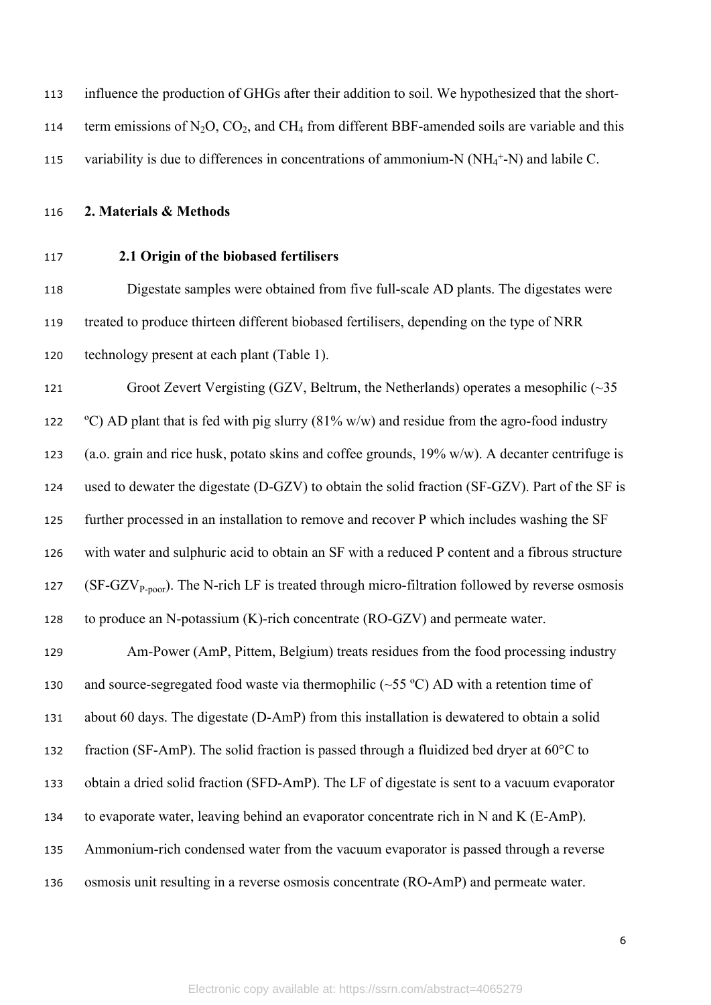| 113 | influence the production of GHGs after their addition to soil. We hypothesized that the short-        |
|-----|-------------------------------------------------------------------------------------------------------|
| 114 | term emissions of $N_2O$ , $CO_2$ , and $CH_4$ from different BBF-amended soils are variable and this |
| 115 | variability is due to differences in concentrations of ammonium-N $(NH_4^+N)$ and labile C.           |

**2. Materials & Methods**

# **2.1 Origin of the biobased fertilisers**

 Digestate samples were obtained from five full-scale AD plants. The digestates were treated to produce thirteen different biobased fertilisers, depending on the type of NRR technology present at each plant (Table 1).

 Groot Zevert Vergisting (GZV, Beltrum, the Netherlands) operates a mesophilic (~35  $\degree$  °C) AD plant that is fed with pig slurry (81% w/w) and residue from the agro-food industry (a.o. grain and rice husk, potato skins and coffee grounds, 19% w/w). A decanter centrifuge is used to dewater the digestate (D-GZV) to obtain the solid fraction (SF-GZV). Part of the SF is further processed in an installation to remove and recover P which includes washing the SF with water and sulphuric acid to obtain an SF with a reduced P content and a fibrous structure 127 (SF-GZV<sub>P-poor</sub>). The N-rich LF is treated through micro-filtration followed by reverse osmosis to produce an N-potassium (K)-rich concentrate (RO-GZV) and permeate water.

 Am-Power (AmP, Pittem, Belgium) treats residues from the food processing industry 130 and source-segregated food waste via thermophilic  $(\sim 55 \degree C)$  AD with a retention time of about 60 days. The digestate (D-AmP) from this installation is dewatered to obtain a solid fraction (SF-AmP). The solid fraction is passed through a fluidized bed dryer at 60°C to obtain a dried solid fraction (SFD-AmP). The LF of digestate is sent to a vacuum evaporator to evaporate water, leaving behind an evaporator concentrate rich in N and K (E-AmP). Ammonium-rich condensed water from the vacuum evaporator is passed through a reverse osmosis unit resulting in a reverse osmosis concentrate (RO-AmP) and permeate water.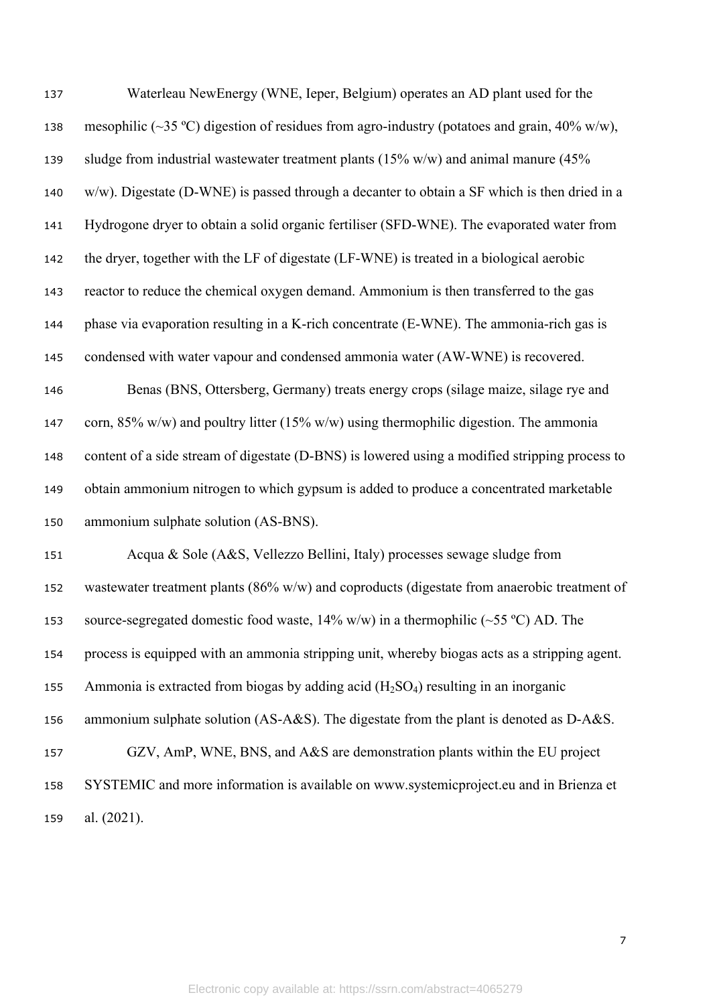| 137 | Waterleau NewEnergy (WNE, Ieper, Belgium) operates an AD plant used for the                     |
|-----|-------------------------------------------------------------------------------------------------|
| 138 | mesophilic (~35 °C) digestion of residues from agro-industry (potatoes and grain, 40% w/w),     |
| 139 | sludge from industrial wastewater treatment plants ( $15\%$ w/w) and animal manure ( $45\%$     |
| 140 | $w/w$ ). Digestate (D-WNE) is passed through a decanter to obtain a SF which is then dried in a |
| 141 | Hydrogone dryer to obtain a solid organic fertiliser (SFD-WNE). The evaporated water from       |
| 142 | the dryer, together with the LF of digestate (LF-WNE) is treated in a biological aerobic        |
| 143 | reactor to reduce the chemical oxygen demand. Ammonium is then transferred to the gas           |
| 144 | phase via evaporation resulting in a K-rich concentrate (E-WNE). The ammonia-rich gas is        |
| 145 | condensed with water vapour and condensed ammonia water (AW-WNE) is recovered.                  |
| 146 | Benas (BNS, Ottersberg, Germany) treats energy crops (silage maize, silage rye and              |
| 147 | corn, $85\%$ w/w) and poultry litter (15% w/w) using thermophilic digestion. The ammonia        |
| 148 | content of a side stream of digestate (D-BNS) is lowered using a modified stripping process to  |
| 149 | obtain ammonium nitrogen to which gypsum is added to produce a concentrated marketable          |
| 150 | ammonium sulphate solution (AS-BNS).                                                            |
| 151 | Acqua & Sole (A&S, Vellezzo Bellini, Italy) processes sewage sludge from                        |
| 152 | wastewater treatment plants ( $86\%$ w/w) and coproducts (digestate from anaerobic treatment of |
| 153 | source-segregated domestic food waste, $14\%$ w/w) in a thermophilic (~55 °C) AD. The           |
| 154 | process is equipped with an ammonia stripping unit, whereby biogas acts as a stripping agent.   |
| 155 | Ammonia is extracted from biogas by adding acid $(H_2SO_4)$ resulting in an inorganic           |
| 156 | ammonium sulphate solution (AS-A&S). The digestate from the plant is denoted as D-A&S.          |
| 157 | GZV, AmP, WNE, BNS, and A&S are demonstration plants within the EU project                      |
| 158 | SYSTEMIC and more information is available on www.systemicproject.eu and in Brienza et          |
| 159 | al. (2021).                                                                                     |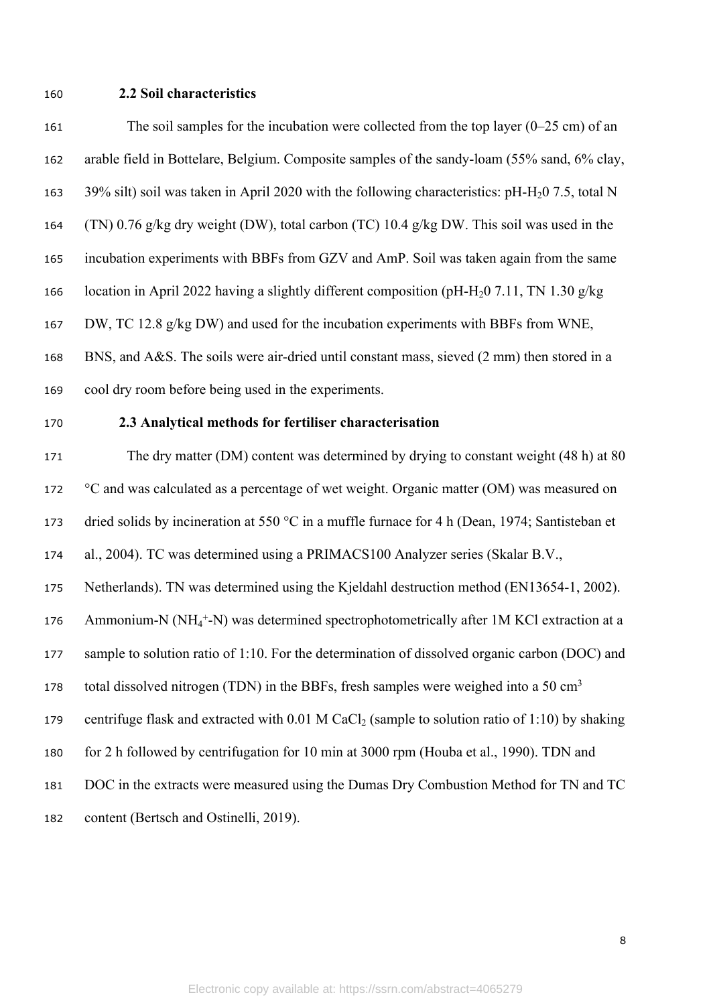# **2.2 Soil characteristics**

| 161 | The soil samples for the incubation were collected from the top layer $(0-25 \text{ cm})$ of an              |
|-----|--------------------------------------------------------------------------------------------------------------|
| 162 | arable field in Bottelare, Belgium. Composite samples of the sandy-loam (55% sand, 6% clay,                  |
| 163 | 39% silt) soil was taken in April 2020 with the following characteristics: pH-H <sub>2</sub> 0 7.5, total N  |
| 164 | (TN) 0.76 g/kg dry weight (DW), total carbon (TC) 10.4 g/kg DW. This soil was used in the                    |
| 165 | incubation experiments with BBFs from GZV and AmP. Soil was taken again from the same                        |
| 166 | location in April 2022 having a slightly different composition (pH-H <sub>2</sub> 0 7.11, TN 1.30 g/kg       |
| 167 | DW, TC 12.8 g/kg DW) and used for the incubation experiments with BBFs from WNE,                             |
| 168 | BNS, and A&S. The soils were air-dried until constant mass, sieved (2 mm) then stored in a                   |
| 169 | cool dry room before being used in the experiments.                                                          |
| 170 | 2.3 Analytical methods for fertiliser characterisation                                                       |
| 171 | The dry matter (DM) content was determined by drying to constant weight (48 h) at 80                         |
| 172 | °C and was calculated as a percentage of wet weight. Organic matter (OM) was measured on                     |
| 173 | dried solids by incineration at 550 °C in a muffle furnace for 4 h (Dean, 1974; Santisteban et               |
| 174 | al., 2004). TC was determined using a PRIMACS100 Analyzer series (Skalar B.V.,                               |
| 175 | Netherlands). TN was determined using the Kjeldahl destruction method (EN13654-1, 2002).                     |
| 176 | Ammonium-N ( $NH_4^+$ -N) was determined spectrophotometrically after 1M KCl extraction at a                 |
| 177 | sample to solution ratio of 1:10. For the determination of dissolved organic carbon (DOC) and                |
| 178 | total dissolved nitrogen (TDN) in the BBFs, fresh samples were weighed into a 50 cm <sup>3</sup>             |
| 179 | centrifuge flask and extracted with $0.01$ M CaCl <sub>2</sub> (sample to solution ratio of 1:10) by shaking |
| 180 | for 2 h followed by centrifugation for 10 min at 3000 rpm (Houba et al., 1990). TDN and                      |
| 181 | DOC in the extracts were measured using the Dumas Dry Combustion Method for TN and TC                        |
| 182 | content (Bertsch and Ostinelli, 2019).                                                                       |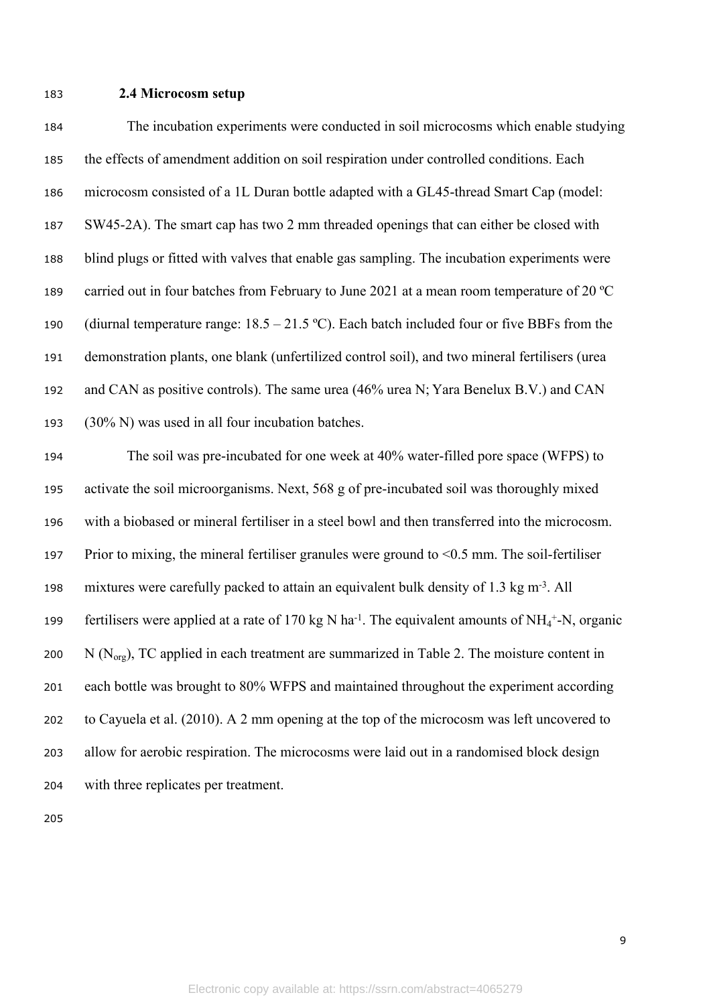### **2.4 Microcosm setup**

 The incubation experiments were conducted in soil microcosms which enable studying the effects of amendment addition on soil respiration under controlled conditions. Each microcosm consisted of a 1L Duran bottle adapted with a GL45-thread Smart Cap (model: SW45-2A). The smart cap has two 2 mm threaded openings that can either be closed with blind plugs or fitted with valves that enable gas sampling. The incubation experiments were 189 carried out in four batches from February to June 2021 at a mean room temperature of 20 °C 190 (diurnal temperature range:  $18.5 - 21.5$  °C). Each batch included four or five BBFs from the demonstration plants, one blank (unfertilized control soil), and two mineral fertilisers (urea and CAN as positive controls). The same urea (46% urea N; Yara Benelux B.V.) and CAN (30% N) was used in all four incubation batches.

 The soil was pre-incubated for one week at 40% water-filled pore space (WFPS) to activate the soil microorganisms. Next, 568 g of pre-incubated soil was thoroughly mixed with a biobased or mineral fertiliser in a steel bowl and then transferred into the microcosm. Prior to mixing, the mineral fertiliser granules were ground to <0.5 mm. The soil-fertiliser mixtures were carefully packed to attain an equivalent bulk density of 1.3 kg m-3. All 199 fertilisers were applied at a rate of 170 kg N ha<sup>-1</sup>. The equivalent amounts of NH<sub>4</sub><sup>+</sup>-N, organic 200 N  $(N<sub>org</sub>)$ , TC applied in each treatment are summarized in Table 2. The moisture content in each bottle was brought to 80% WFPS and maintained throughout the experiment according to Cayuela et al. (2010). A 2 mm opening at the top of the microcosm was left uncovered to allow for aerobic respiration. The microcosms were laid out in a randomised block design with three replicates per treatment.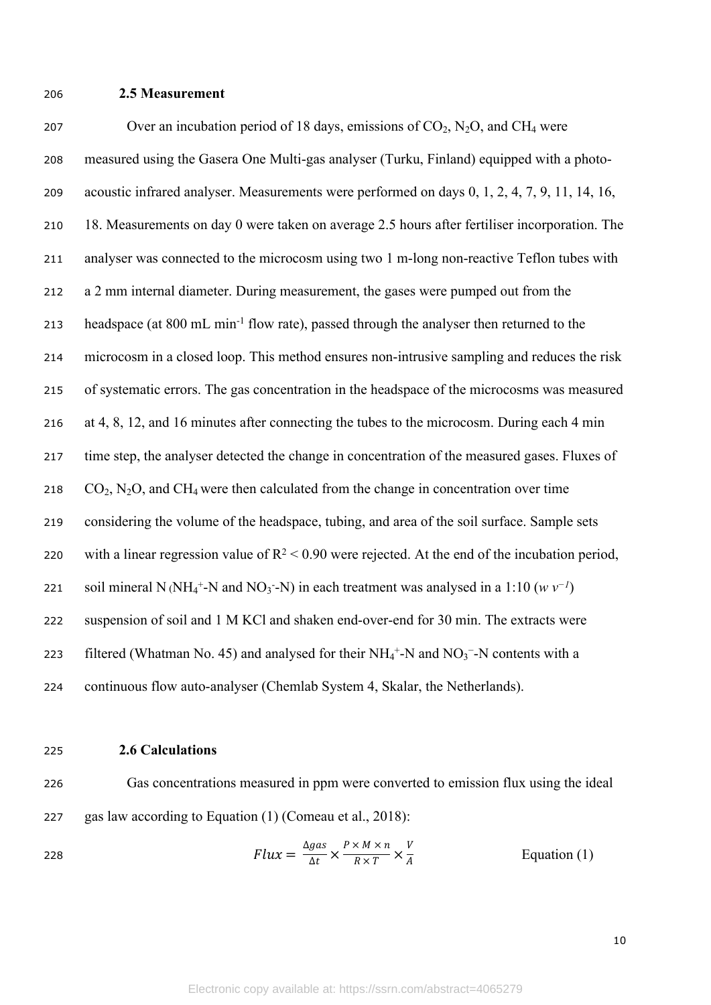### 206 **2.5 Measurement**

207 Over an incubation period of 18 days, emissions of  $CO<sub>2</sub>$ , N<sub>2</sub>O, and CH<sub>4</sub> were measured using the Gasera One Multi-gas analyser (Turku, Finland) equipped with a photo- acoustic infrared analyser. Measurements were performed on days 0, 1, 2, 4, 7, 9, 11, 14, 16, 18. Measurements on day 0 were taken on average 2.5 hours after fertiliser incorporation. The analyser was connected to the microcosm using two 1 m-long non-reactive Teflon tubes with a 2 mm internal diameter. During measurement, the gases were pumped out from the headspace (at 800 mL min-1 flow rate), passed through the analyser then returned to the microcosm in a closed loop. This method ensures non-intrusive sampling and reduces the risk of systematic errors. The gas concentration in the headspace of the microcosms was measured at 4, 8, 12, and 16 minutes after connecting the tubes to the microcosm. During each 4 min time step, the analyser detected the change in concentration of the measured gases. Fluxes of  $CO_2$ , N<sub>2</sub>O, and CH<sub>4</sub> were then calculated from the change in concentration over time considering the volume of the headspace, tubing, and area of the soil surface. Sample sets 220 with a linear regression value of  $R^2 < 0.90$  were rejected. At the end of the incubation period, 221 soil mineral N (NH<sub>4</sub><sup>+</sup>-N and NO<sub>3</sub> - N) in each treatment was analysed in a 1:10 ( $w v^{-1}$ ) suspension of soil and 1 M KCl and shaken end-over-end for 30 min. The extracts were 223 filtered (Whatman No. 45) and analysed for their  $NH_4^+$ -N and  $NO_3^-$ -N contents with a continuous flow auto-analyser (Chemlab System 4, Skalar, the Netherlands).

#### 225 **2.6 Calculations**

226 Gas concentrations measured in ppm were converted to emission flux using the ideal 227 gas law according to Equation (1) (Comeau et al., 2018):

$$
Flux = \frac{\Delta gas}{\Delta t} \times \frac{P \times M \times n}{R \times T} \times \frac{V}{A}
$$
 Equation (1)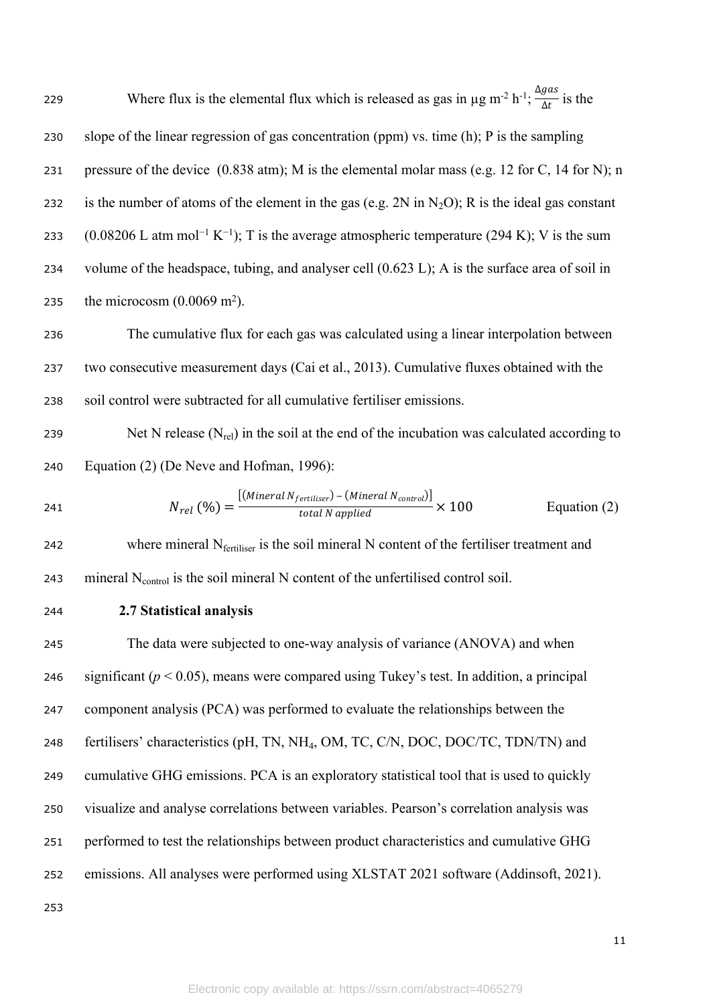229 Where flux is the elemental flux which is released as gas in  $\mu$ g m<sup>-2</sup> h<sup>-1</sup>;  $\frac{\Delta gas}{\Delta t}$  is the  $\Delta t$ 230 slope of the linear regression of gas concentration (ppm) vs. time (h); P is the sampling 231 pressure of the device (0.838 atm); M is the elemental molar mass (e.g. 12 for C, 14 for N); n 232 is the number of atoms of the element in the gas (e.g.  $2N$  in N<sub>2</sub>O); R is the ideal gas constant 233 (0.08206 L atm mol<sup>-1</sup> K<sup>-1</sup>); T is the average atmospheric temperature (294 K); V is the sum 234 volume of the headspace, tubing, and analyser cell (0.623 L); A is the surface area of soil in 235 the microcosm  $(0.0069 \text{ m}^2)$ .

236 The cumulative flux for each gas was calculated using a linear interpolation between 237 two consecutive measurement days (Cai et al., 2013). Cumulative fluxes obtained with the 238 soil control were subtracted for all cumulative fertiliser emissions.

239 Net N release  $(N_{rel})$  in the soil at the end of the incubation was calculated according to 240 Equation (2) (De Neve and Hofman, 1996):

241 
$$
N_{rel}(\%) = \frac{[(\text{Mineral N}_{fertiliser}) - (\text{Mineral N}_{control})]}{\text{total N applied}} \times 100
$$
 Equation (2)

242 where mineral  $N_{\text{fertiliser}}$  is the soil mineral N content of the fertiliser treatment and 243 mineral  $N_{control}$  is the soil mineral N content of the unfertilised control soil.

244 **2.7 Statistical analysis**

 The data were subjected to one-way analysis of variance (ANOVA) and when 246 significant  $(p < 0.05)$ , means were compared using Tukey's test. In addition, a principal component analysis (PCA) was performed to evaluate the relationships between the fertilisers' characteristics (pH, TN, NH4, OM, TC, C/N, DOC, DOC/TC, TDN/TN) and cumulative GHG emissions. PCA is an exploratory statistical tool that is used to quickly visualize and analyse correlations between variables. Pearson's correlation analysis was performed to test the relationships between product characteristics and cumulative GHG emissions. All analyses were performed using XLSTAT 2021 software (Addinsoft, 2021).

253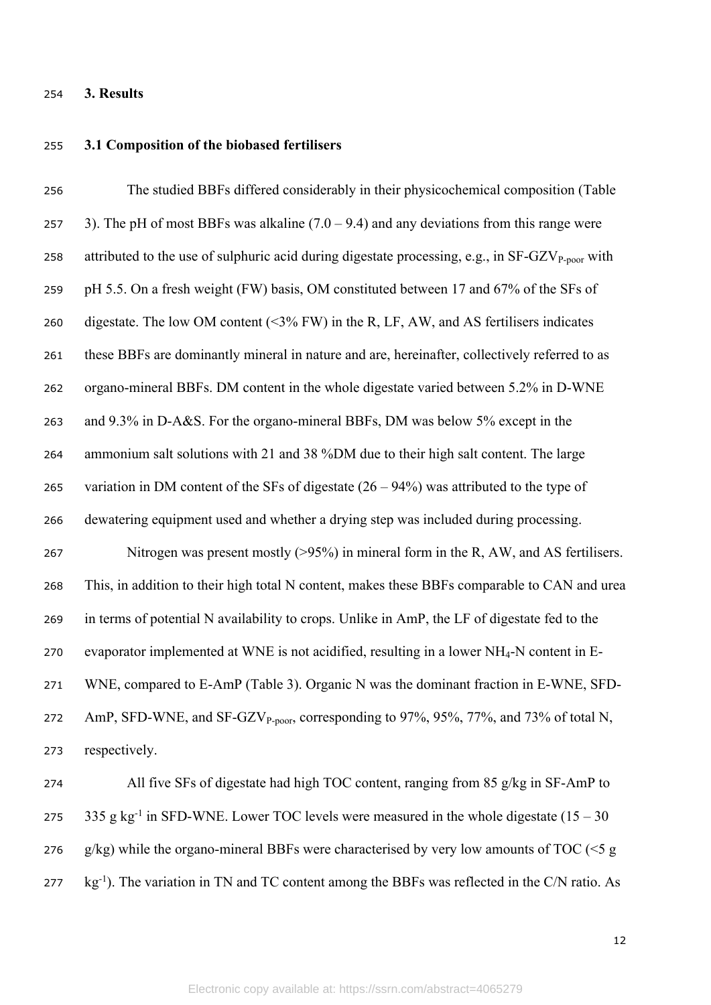# **3. Results**

# **3.1 Composition of the biobased fertilisers**

| 256 | The studied BBFs differed considerably in their physicochemical composition (Table                          |
|-----|-------------------------------------------------------------------------------------------------------------|
| 257 | 3). The pH of most BBFs was alkaline $(7.0 - 9.4)$ and any deviations from this range were                  |
| 258 | attributed to the use of sulphuric acid during digestate processing, e.g., in SF-GZV <sub>P-poor</sub> with |
| 259 | pH 5.5. On a fresh weight (FW) basis, OM constituted between 17 and 67% of the SFs of                       |
| 260 | digestate. The low OM content ( $\leq$ 3% FW) in the R, LF, AW, and AS fertilisers indicates                |
| 261 | these BBFs are dominantly mineral in nature and are, hereinafter, collectively referred to as               |
| 262 | organo-mineral BBFs. DM content in the whole digestate varied between 5.2% in D-WNE                         |
| 263 | and 9.3% in D-A&S. For the organo-mineral BBFs, DM was below 5% except in the                               |
| 264 | ammonium salt solutions with 21 and 38 %DM due to their high salt content. The large                        |
| 265 | variation in DM content of the SFs of digestate $(26 – 94%)$ was attributed to the type of                  |
| 266 | dewatering equipment used and whether a drying step was included during processing.                         |
| 267 | Nitrogen was present mostly $(>95%)$ in mineral form in the R, AW, and AS fertilisers.                      |
| 268 | This, in addition to their high total N content, makes these BBFs comparable to CAN and urea                |
| 269 | in terms of potential N availability to crops. Unlike in AmP, the LF of digestate fed to the                |
| 270 | evaporator implemented at WNE is not acidified, resulting in a lower NH <sub>4</sub> -N content in E-       |
| 271 | WNE, compared to E-AmP (Table 3). Organic N was the dominant fraction in E-WNE, SFD-                        |
| 272 | AmP, SFD-WNE, and SF-GZV <sub>P-poor</sub> , corresponding to 97%, 95%, 77%, and 73% of total N,            |
| 273 | respectively.                                                                                               |
| 274 | All five SFs of digestate had high TOC content, ranging from 85 g/kg in SF-AmP to                           |
| 275 | 335 g kg <sup>-1</sup> in SFD-WNE. Lower TOC levels were measured in the whole digestate $(15 - 30)$        |
| 276 | $g/kg$ ) while the organo-mineral BBFs were characterised by very low amounts of TOC (<5 g                  |

277 kg<sup>-1</sup>). The variation in TN and TC content among the BBFs was reflected in the C/N ratio. As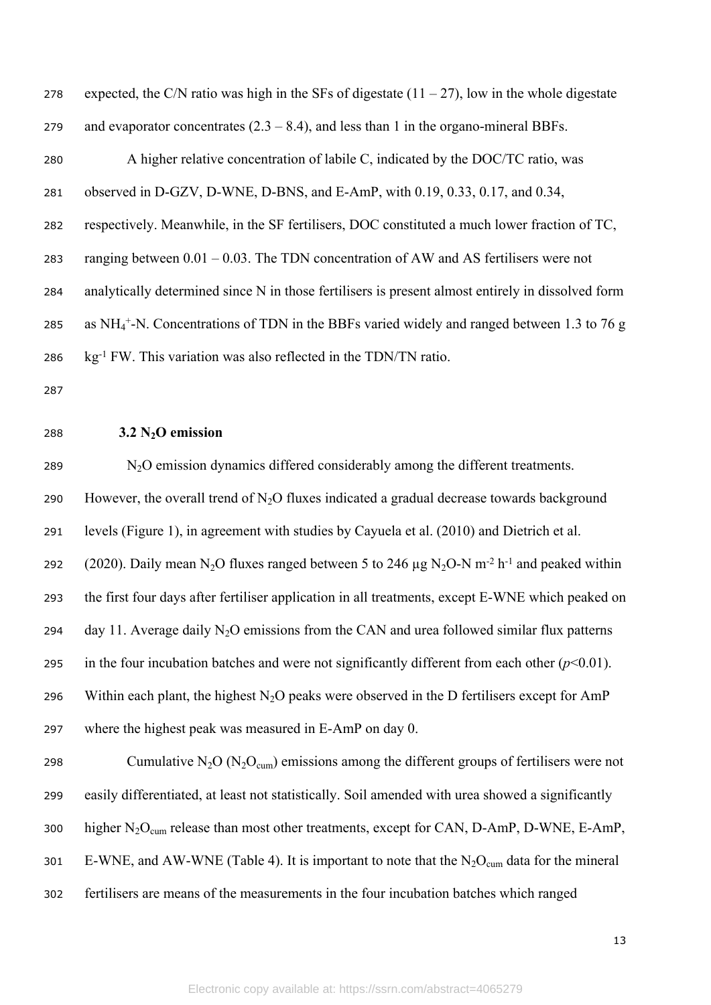| 278 | expected, the C/N ratio was high in the SFs of digestate $(11 – 27)$ , low in the whole digestate |
|-----|---------------------------------------------------------------------------------------------------|
| 279 | and evaporator concentrates $(2.3 - 8.4)$ , and less than 1 in the organo-mineral BBFs.           |
| 280 | A higher relative concentration of labile C, indicated by the DOC/TC ratio, was                   |
| 281 | observed in D-GZV, D-WNE, D-BNS, and E-AmP, with 0.19, 0.33, 0.17, and 0.34,                      |
| 282 | respectively. Meanwhile, in the SF fertilisers, DOC constituted a much lower fraction of TC,      |
| 283 | ranging between $0.01 - 0.03$ . The TDN concentration of AW and AS fertilisers were not           |
| 284 | analytically determined since N in those fertilisers is present almost entirely in dissolved form |
| 285 | as $NH_4^+$ -N. Concentrations of TDN in the BBFs varied widely and ranged between 1.3 to 76 g    |
| 286 | kg <sup>-1</sup> FW. This variation was also reflected in the TDN/TN ratio.                       |
| 287 |                                                                                                   |

# <sup>288</sup> **3.2 N2O emission**

<sup>289</sup> N2O emission dynamics differed considerably among the different treatments. 290 However, the overall trend of  $N<sub>2</sub>O$  fluxes indicated a gradual decrease towards background 291 levels (Figure 1), in agreement with studies by Cayuela et al. (2010) and Dietrich et al. 292 (2020). Daily mean N<sub>2</sub>O fluxes ranged between 5 to 246  $\mu$ g N<sub>2</sub>O-N m<sup>-2</sup> h<sup>-1</sup> and peaked within 293 the first four days after fertiliser application in all treatments, except E-WNE which peaked on 294 day 11. Average daily  $N_2O$  emissions from the CAN and urea followed similar flux patterns 295 in the four incubation batches and were not significantly different from each other  $(p<0.01)$ . 296 Within each plant, the highest  $N_2O$  peaks were observed in the D fertilisers except for AmP 297 where the highest peak was measured in E-AmP on day 0. 298 Cumulative  $N_2O (N_2O_{\text{cum}})$  emissions among the different groups of fertilisers were not 299 easily differentiated, at least not statistically. Soil amended with urea showed a significantly 300 higher  $N_2O_{cum}$  release than most other treatments, except for CAN, D-AmP, D-WNE, E-AmP,

- 301 E-WNE, and AW-WNE (Table 4). It is important to note that the  $N_2O_{cum}$  data for the mineral
- 302 fertilisers are means of the measurements in the four incubation batches which ranged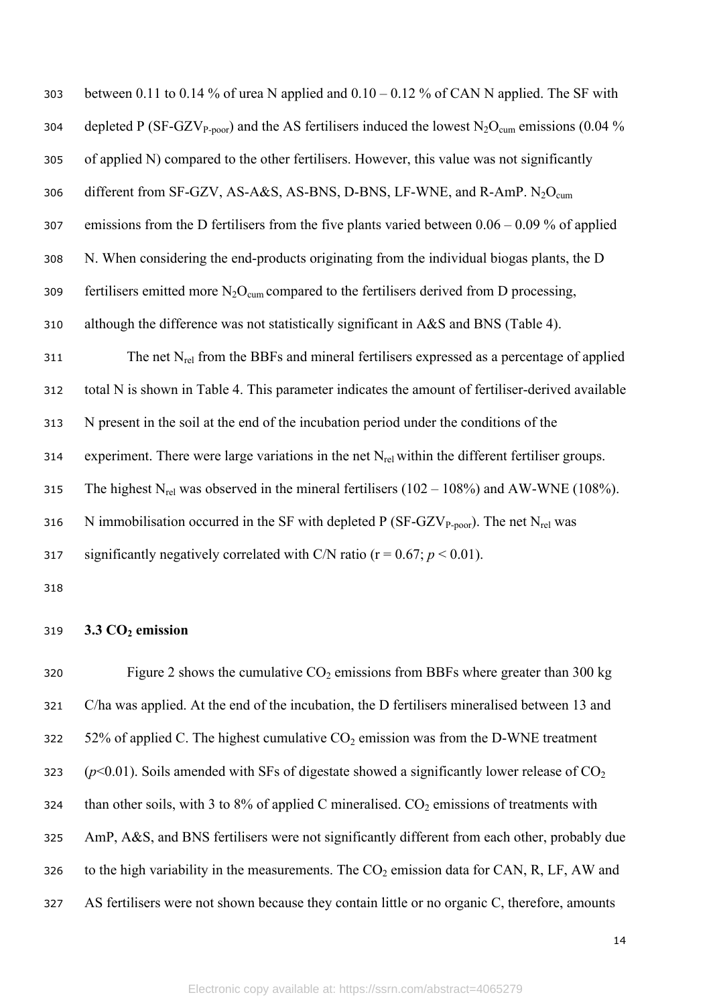| 303 | between 0.11 to 0.14 % of urea N applied and $0.10 - 0.12$ % of CAN N applied. The SF with                                         |
|-----|------------------------------------------------------------------------------------------------------------------------------------|
| 304 | depleted P (SF-GZV <sub>P-poor</sub> ) and the AS fertilisers induced the lowest N <sub>2</sub> O <sub>cum</sub> emissions (0.04 % |
| 305 | of applied N) compared to the other fertilisers. However, this value was not significantly                                         |
| 306 | different from SF-GZV, AS-A&S, AS-BNS, D-BNS, LF-WNE, and R-AmP. N <sub>2</sub> O <sub>cum</sub>                                   |
| 307 | emissions from the D fertilisers from the five plants varied between $0.06 - 0.09$ % of applied                                    |
| 308 | N. When considering the end-products originating from the individual biogas plants, the D                                          |
| 309 | fertilisers emitted more $N_2O_{\text{cum}}$ compared to the fertilisers derived from D processing,                                |
| 310 | although the difference was not statistically significant in A&S and BNS (Table 4).                                                |
| 311 | The net $N_{rel}$ from the BBFs and mineral fertilisers expressed as a percentage of applied                                       |
| 312 | total N is shown in Table 4. This parameter indicates the amount of fertiliser-derived available                                   |
| 313 | N present in the soil at the end of the incubation period under the conditions of the                                              |
| 314 | experiment. There were large variations in the net $N_{rel}$ within the different fertiliser groups.                               |
| 315 | The highest $N_{rel}$ was observed in the mineral fertilisers (102 – 108%) and AW-WNE (108%).                                      |
| 316 | N immobilisation occurred in the SF with depleted P (SF-GZV <sub>P-poor</sub> ). The net N <sub>rel</sub> was                      |
| 317 | significantly negatively correlated with C/N ratio ( $r = 0.67$ ; $p < 0.01$ ).                                                    |
| 318 |                                                                                                                                    |

# **3.3 CO2 emission**

320 Figure 2 shows the cumulative  $CO_2$  emissions from BBFs where greater than 300 kg C/ha was applied. At the end of the incubation, the D fertilisers mineralised between 13 and 322 52% of applied C. The highest cumulative  $CO_2$  emission was from the D-WNE treatment 323  $(p<0.01)$ . Soils amended with SFs of digestate showed a significantly lower release of CO<sub>2</sub> 324 than other soils, with 3 to 8% of applied C mineralised.  $CO<sub>2</sub>$  emissions of treatments with AmP, A&S, and BNS fertilisers were not significantly different from each other, probably due 326 to the high variability in the measurements. The  $CO<sub>2</sub>$  emission data for CAN, R, LF, AW and 327 AS fertilisers were not shown because they contain little or no organic C, therefore, amounts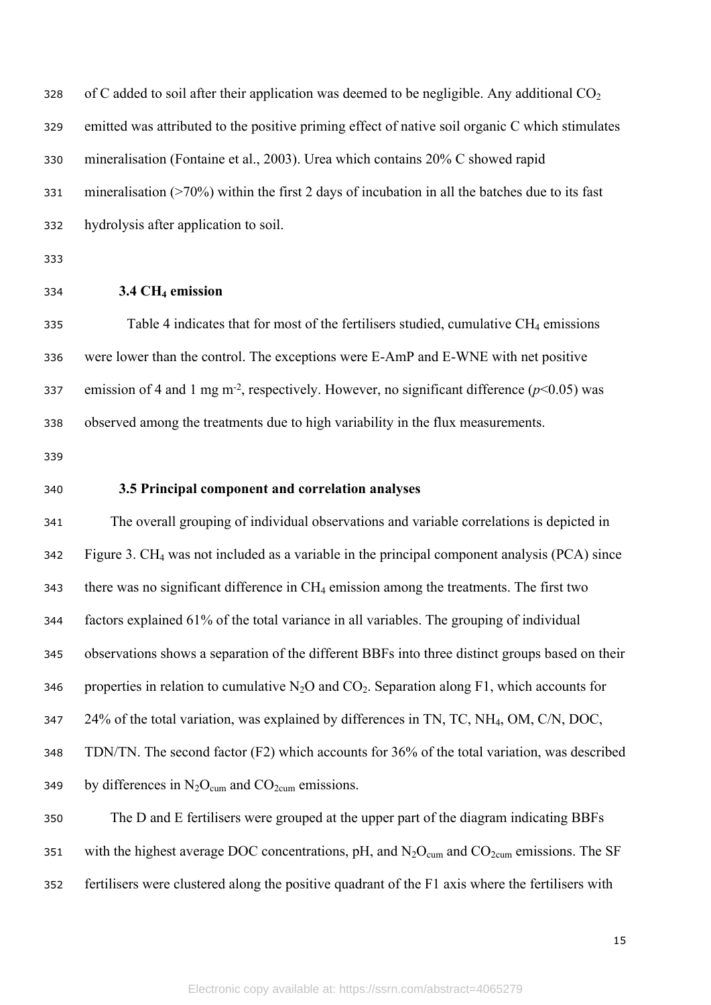328 of C added to soil after their application was deemed to be negligible. Any additional  $CO<sub>2</sub>$  emitted was attributed to the positive priming effect of native soil organic C which stimulates mineralisation (Fontaine et al., 2003). Urea which contains 20% C showed rapid mineralisation (>70%) within the first 2 days of incubation in all the batches due to its fast hydrolysis after application to soil.

**3.4 CH4 emission**

335 Table 4 indicates that for most of the fertilisers studied, cumulative  $CH_4$  emissions were lower than the control. The exceptions were E-AmP and E-WNE with net positive emission of 4 and 1 mg m-2, respectively. However, no significant difference (*p*<0.05) was observed among the treatments due to high variability in the flux measurements.

### **3.5 Principal component and correlation analyses**

 The overall grouping of individual observations and variable correlations is depicted in Figure 3. CH4 was not included as a variable in the principal component analysis (PCA) since there was no significant difference in CH4 emission among the treatments. The first two factors explained 61% of the total variance in all variables. The grouping of individual observations shows a separation of the different BBFs into three distinct groups based on their 346 properties in relation to cumulative  $N_2O$  and  $CO_2$ . Separation along F1, which accounts for 24% of the total variation, was explained by differences in TN, TC, NH4, OM, C/N, DOC, TDN/TN. The second factor (F2) which accounts for 36% of the total variation, was described 349 by differences in  $N_2O_{cum}$  and  $CO_{2cum}$  emissions.

 The D and E fertilisers were grouped at the upper part of the diagram indicating BBFs 351 with the highest average DOC concentrations, pH, and  $N_2O_{\text{cum}}$  and  $CO_{\text{2cum}}$  emissions. The SF fertilisers were clustered along the positive quadrant of the F1 axis where the fertilisers with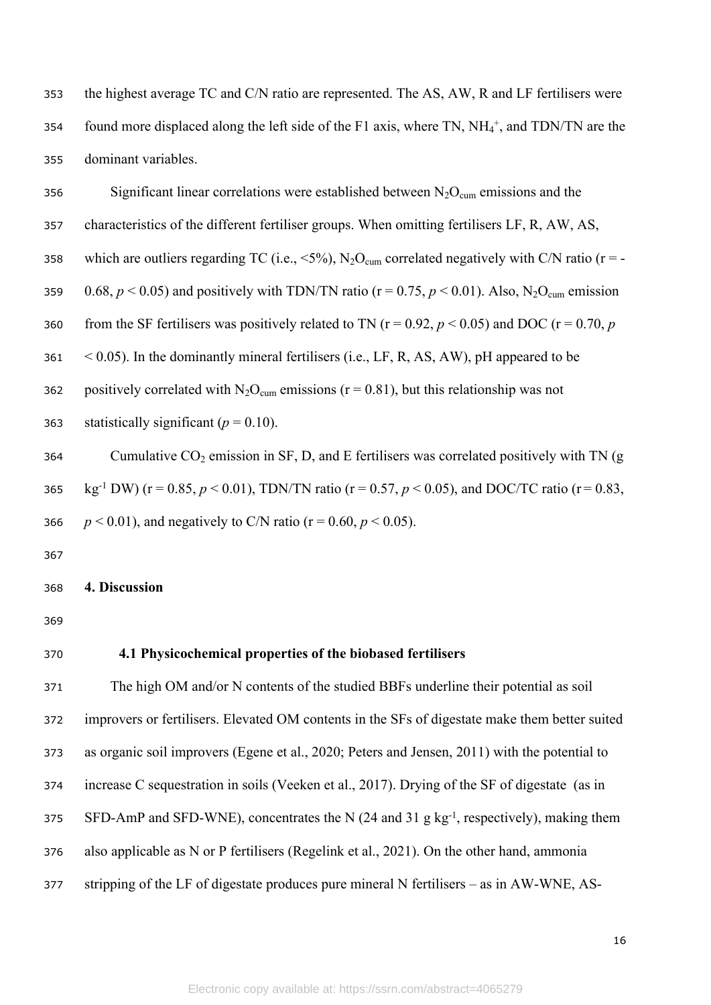353 the highest average TC and C/N ratio are represented. The AS, AW, R and LF fertilisers were 354 found more displaced along the left side of the F1 axis, where TN,  $NH_4^+$ , and TDN/TN are the 355 dominant variables.

356 Significant linear correlations were established between  $N_2O_{\text{cum}}$  emissions and the 357 characteristics of the different fertiliser groups. When omitting fertilisers LF, R, AW, AS, 358 which are outliers regarding TC (i.e.,  $\leq$  5%), N<sub>2</sub>O<sub>cum</sub> correlated negatively with C/N ratio (r = -359 0.68,  $p < 0.05$ ) and positively with TDN/TN ratio (r = 0.75,  $p < 0.01$ ). Also, N<sub>2</sub>O<sub>cum</sub> emission 360 from the SF fertilisers was positively related to TN ( $r = 0.92$ ,  $p < 0.05$ ) and DOC ( $r = 0.70$ ,  $p = 0.70$  $361 \leq 0.05$ ). In the dominantly mineral fertilisers (i.e., LF, R, AS, AW), pH appeared to be 362 positively correlated with  $N_2O_{\text{cum}}$  emissions (r = 0.81), but this relationship was not 363 statistically significant  $(p = 0.10)$ . 364 Cumulative  $CO_2$  emission in SF, D, and E fertilisers was correlated positively with TN (g <sup>365</sup> kg-1 DW) (r = 0.85, *p* < 0.01), TDN/TN ratio (r = 0.57, *p* < 0.05), and DOC/TC ratio (r = 0.83, 366 *p* < 0.01), and negatively to C/N ratio ( $r = 0.60, p \lt 0.05$ ).

367

#### 368 **4. Discussion**

369

## 370 **4.1 Physicochemical properties of the biobased fertilisers**

 The high OM and/or N contents of the studied BBFs underline their potential as soil improvers or fertilisers. Elevated OM contents in the SFs of digestate make them better suited as organic soil improvers (Egene et al., 2020; Peters and Jensen, 2011) with the potential to increase C sequestration in soils (Veeken et al., 2017). Drying of the SF of digestate (as in 375 SFD-AmP and SFD-WNE), concentrates the N  $(24 \text{ and } 31 \text{ g kg}^{-1})$ , respectively), making them also applicable as N or P fertilisers (Regelink et al., 2021). On the other hand, ammonia stripping of the LF of digestate produces pure mineral N fertilisers – as in AW-WNE, AS-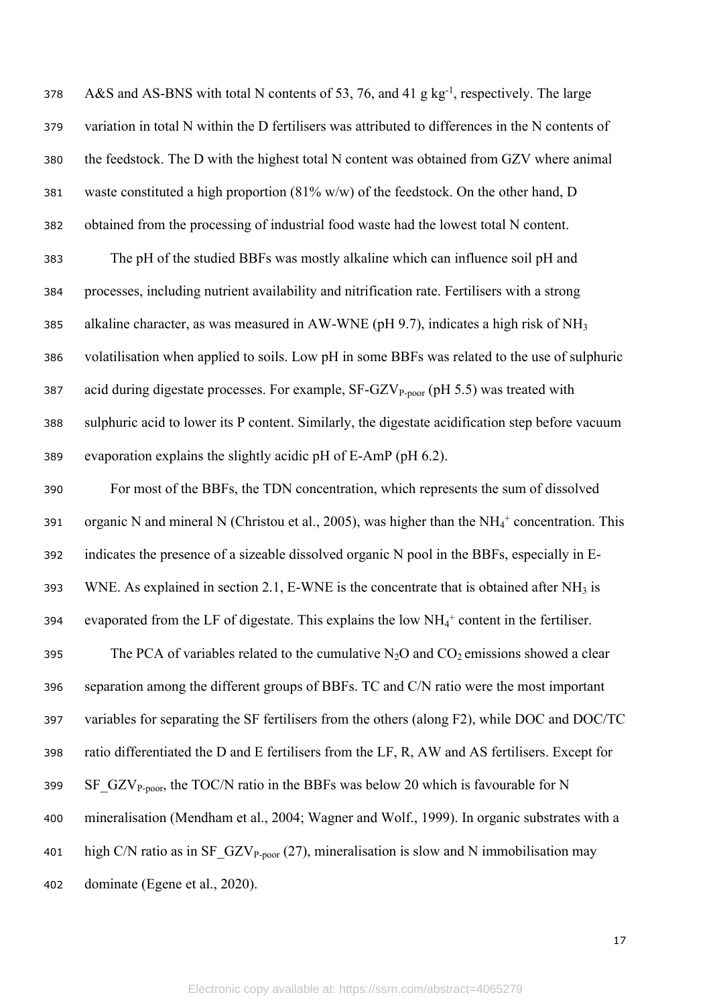378 A&S and AS-BNS with total N contents of 53, 76, and 41 g kg<sup>-1</sup>, respectively. The large variation in total N within the D fertilisers was attributed to differences in the N contents of the feedstock. The D with the highest total N content was obtained from GZV where animal waste constituted a high proportion (81% w/w) of the feedstock. On the other hand, D obtained from the processing of industrial food waste had the lowest total N content. The pH of the studied BBFs was mostly alkaline which can influence soil pH and processes, including nutrient availability and nitrification rate. Fertilisers with a strong 385 alkaline character, as was measured in AW-WNE (pH 9.7), indicates a high risk of NH<sub>3</sub> volatilisation when applied to soils. Low pH in some BBFs was related to the use of sulphuric 387 acid during digestate processes. For example,  $SF-GZV_{P\text{-poor}}$  (pH 5.5) was treated with sulphuric acid to lower its P content. Similarly, the digestate acidification step before vacuum evaporation explains the slightly acidic pH of E-AmP (pH 6.2). For most of the BBFs, the TDN concentration, which represents the sum of dissolved 391 organic N and mineral N (Christou et al., 2005), was higher than the  $NH_4^+$  concentration. This indicates the presence of a sizeable dissolved organic N pool in the BBFs, especially in E-393 WNE. As explained in section 2.1, E-WNE is the concentrate that is obtained after  $NH_3$  is 394 evaporated from the LF of digestate. This explains the low  $NH_4^+$  content in the fertiliser. 395 The PCA of variables related to the cumulative  $N_2O$  and  $CO_2$  emissions showed a clear separation among the different groups of BBFs. TC and C/N ratio were the most important variables for separating the SF fertilisers from the others (along F2), while DOC and DOC/TC ratio differentiated the D and E fertilisers from the LF, R, AW and AS fertilisers. Except for 399 SF\_GZV<sub>P-poor</sub>, the TOC/N ratio in the BBFs was below 20 which is favourable for N mineralisation (Mendham et al., 2004; Wagner and Wolf., 1999). In organic substrates with a 401 high C/N ratio as in  $SF_GZV_{P\text{-poor}}(27)$ , mineralisation is slow and N immobilisation may dominate (Egene et al., 2020).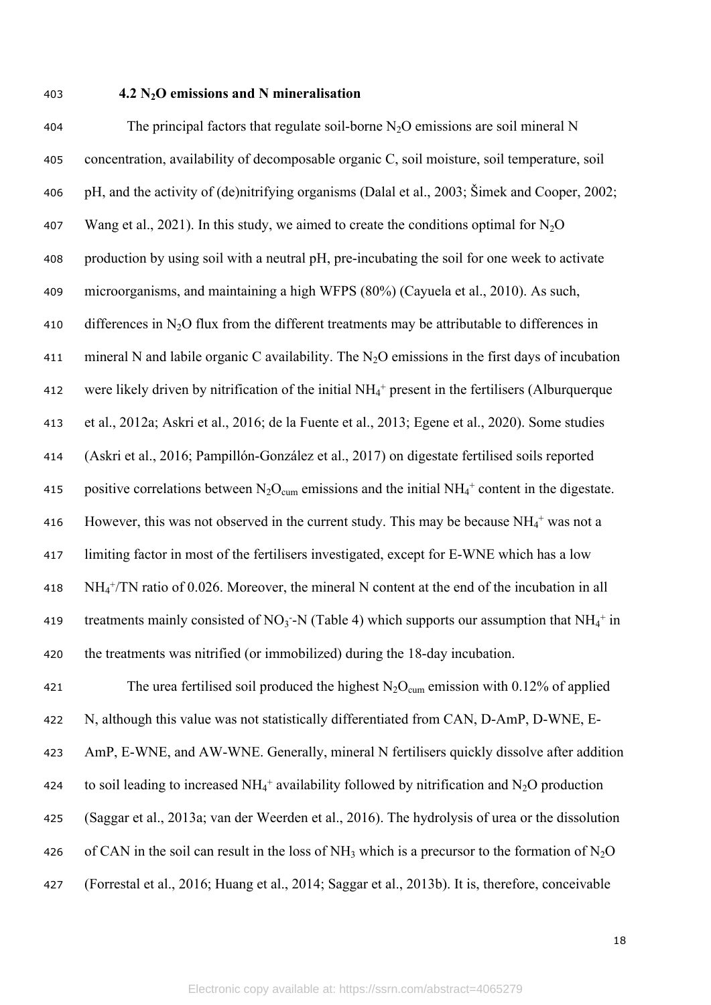#### <sup>403</sup> **4.2 N2O emissions and N mineralisation**

404 The principal factors that regulate soil-borne  $N_2O$  emissions are soil mineral N 405 concentration, availability of decomposable organic C, soil moisture, soil temperature, soil 406 pH, and the activity of (de)nitrifying organisms (Dalal et al., 2003; Šimek and Cooper, 2002; 407 Wang et al., 2021). In this study, we aimed to create the conditions optimal for  $N_2O$ 408 production by using soil with a neutral pH, pre-incubating the soil for one week to activate 409 microorganisms, and maintaining a high WFPS (80%) (Cayuela et al., 2010). As such, 410 differences in N<sub>2</sub>O flux from the different treatments may be attributable to differences in 411 mineral N and labile organic C availability. The  $N<sub>2</sub>O$  emissions in the first days of incubation 412 were likely driven by nitrification of the initial  $NH_4^+$  present in the fertilisers (Alburquerque 413 et al., 2012a; Askri et al., 2016; de la Fuente et al., 2013; Egene et al., 2020). Some studies 414 (Askri et al., 2016; Pampillón-González et al., 2017) on digestate fertilised soils reported 415 positive correlations between  $N_2O_{\text{cum}}$  emissions and the initial NH<sub>4</sub><sup>+</sup> content in the digestate. 416 However, this was not observed in the current study. This may be because  $NH_4^+$  was not a 417 limiting factor in most of the fertilisers investigated, except for E-WNE which has a low  $418 \text{ NH}_4^+/\text{TN}$  ratio of 0.026. Moreover, the mineral N content at the end of the incubation in all 419 treatments mainly consisted of NO<sub>3</sub> -N (Table 4) which supports our assumption that NH<sub>4</sub><sup>+</sup> in 420 the treatments was nitrified (or immobilized) during the 18-day incubation. 421 The urea fertilised soil produced the highest  $N_2O_{\text{cum}}$  emission with 0.12% of applied 422 N, although this value was not statistically differentiated from CAN, D-AmP, D-WNE, E-423 AmP, E-WNE, and AW-WNE. Generally, mineral N fertilisers quickly dissolve after addition 424 to soil leading to increased  $NH_4^+$  availability followed by nitrification and  $N_2O$  production 425 (Saggar et al., 2013a; van der Weerden et al., 2016). The hydrolysis of urea or the dissolution 426 of CAN in the soil can result in the loss of NH<sub>3</sub> which is a precursor to the formation of N<sub>2</sub>O

427 (Forrestal et al., 2016; Huang et al., 2014; Saggar et al., 2013b). It is, therefore, conceivable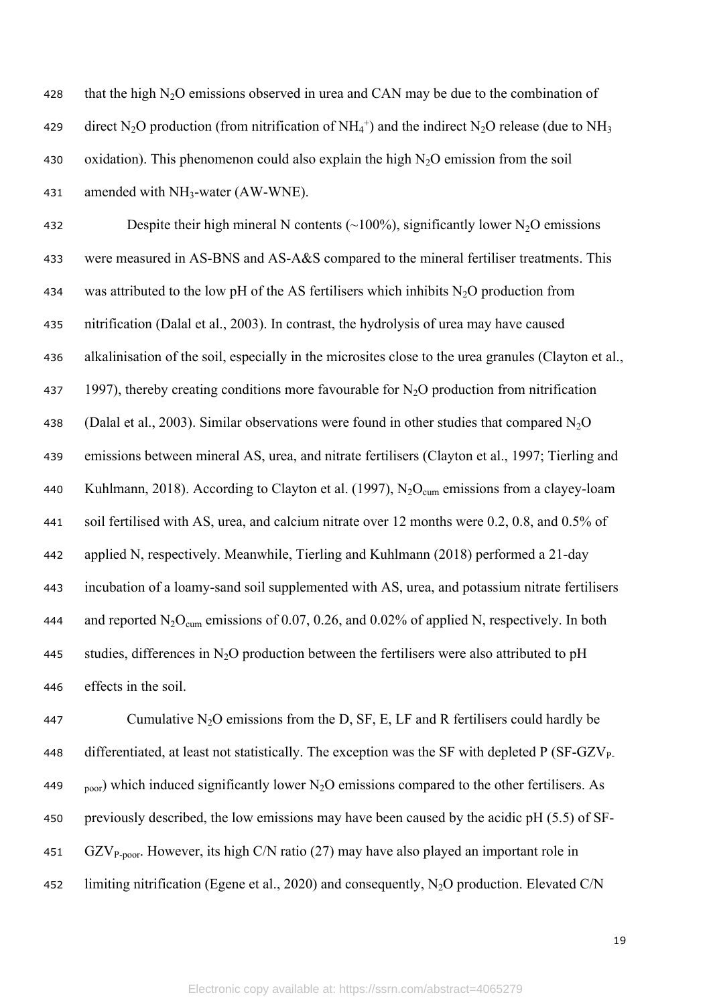| 428 | that the high $N_2O$ emissions observed in urea and CAN may be due to the combination of                                                                     |
|-----|--------------------------------------------------------------------------------------------------------------------------------------------------------------|
| 429 | direct N <sub>2</sub> O production (from nitrification of NH <sub>4</sub> <sup>+</sup> ) and the indirect N <sub>2</sub> O release (due to NH <sub>3</sub> ) |
| 430 | oxidation). This phenomenon could also explain the high $N2O$ emission from the soil                                                                         |
| 431 | amended with $NH_3$ -water (AW-WNE).                                                                                                                         |
|     |                                                                                                                                                              |

432 Despite their high mineral N contents  $(\sim 100\%)$ , significantly lower N<sub>2</sub>O emissions 433 were measured in AS-BNS and AS-A&S compared to the mineral fertiliser treatments. This 434 was attributed to the low pH of the AS fertilisers which inhibits  $N_2O$  production from 435 nitrification (Dalal et al., 2003). In contrast, the hydrolysis of urea may have caused 436 alkalinisation of the soil, especially in the microsites close to the urea granules (Clayton et al., 437 1997), thereby creating conditions more favourable for  $N_2O$  production from nitrification 438 (Dalal et al., 2003). Similar observations were found in other studies that compared  $N_2O$ 439 emissions between mineral AS, urea, and nitrate fertilisers (Clayton et al., 1997; Tierling and 440 Kuhlmann, 2018). According to Clayton et al. (1997),  $N_2O_{cum}$  emissions from a clayey-loam 441 soil fertilised with AS, urea, and calcium nitrate over 12 months were 0.2, 0.8, and 0.5% of 442 applied N, respectively. Meanwhile, Tierling and Kuhlmann (2018) performed a 21-day 443 incubation of a loamy-sand soil supplemented with AS, urea, and potassium nitrate fertilisers 444 and reported  $N_2O_{\text{cum}}$  emissions of 0.07, 0.26, and 0.02% of applied N, respectively. In both 445 studies, differences in N<sub>2</sub>O production between the fertilisers were also attributed to pH 446 effects in the soil.

447 Cumulative  $N_2O$  emissions from the D, SF, E, LF and R fertilisers could hardly be 448 differentiated, at least not statistically. The exception was the SF with depleted  $P(SF-GZV_{P-})$ 449 <sub>poor</sub>) which induced significantly lower N<sub>2</sub>O emissions compared to the other fertilisers. As 450 previously described, the low emissions may have been caused by the acidic pH (5.5) of SF-451 GZV<sub>P-poor</sub>. However, its high C/N ratio (27) may have also played an important role in <sup>452</sup> limiting nitrification (Egene et al., 2020) and consequently, N2O production. Elevated C/N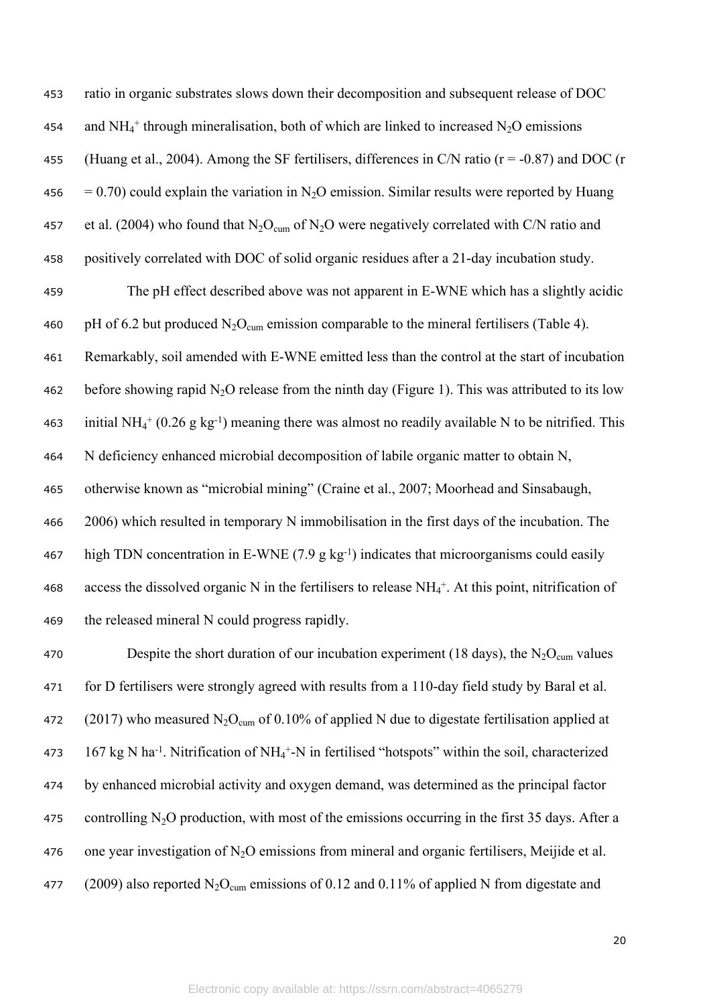453 ratio in organic substrates slows down their decomposition and subsequent release of DOC 454 and  $NH_4^+$  through mineralisation, both of which are linked to increased  $N_2O$  emissions 455 (Huang et al., 2004). Among the SF fertilisers, differences in C/N ratio ( $r = -0.87$ ) and DOC (r 456 = 0.70) could explain the variation in N<sub>2</sub>O emission. Similar results were reported by Huang 457 et al. (2004) who found that  $N_2O_{\text{cum}}$  of  $N_2O$  were negatively correlated with C/N ratio and 458 positively correlated with DOC of solid organic residues after a 21-day incubation study.

459 The pH effect described above was not apparent in E-WNE which has a slightly acidic 460 pH of 6.2 but produced  $N_2O_{cum}$  emission comparable to the mineral fertilisers (Table 4). 461 Remarkably, soil amended with E-WNE emitted less than the control at the start of incubation 462 before showing rapid N<sub>2</sub>O release from the ninth day (Figure 1). This was attributed to its low 463 initial NH<sub>4</sub><sup>+</sup> (0.26 g kg<sup>-1</sup>) meaning there was almost no readily available N to be nitrified. This 464 N deficiency enhanced microbial decomposition of labile organic matter to obtain N, 465 otherwise known as "microbial mining" (Craine et al., 2007; Moorhead and Sinsabaugh, 466 2006) which resulted in temporary N immobilisation in the first days of the incubation. The 467 high TDN concentration in E-WNE  $(7.9 \text{ g kg}^{-1})$  indicates that microorganisms could easily 468 access the dissolved organic N in the fertilisers to release  $NH_4^+$ . At this point, nitrification of 469 the released mineral N could progress rapidly.

470 Despite the short duration of our incubation experiment (18 days), the  $N_2O_{cum}$  values 471 for D fertilisers were strongly agreed with results from a 110-day field study by Baral et al. 472 (2017) who measured  $N_2O_{\text{cum}}$  of 0.10% of applied N due to digestate fertilisation applied at 473  $167 \text{ kg N}$  ha<sup>-1</sup>. Nitrification of NH<sub>4</sub><sup>+</sup>-N in fertilised "hotspots" within the soil, characterized 474 by enhanced microbial activity and oxygen demand, was determined as the principal factor 475 controlling N<sub>2</sub>O production, with most of the emissions occurring in the first 35 days. After a 476 one year investigation of  $N_2O$  emissions from mineral and organic fertilisers, Meijide et al. 477 (2009) also reported  $N_2O_{\text{cum}}$  emissions of 0.12 and 0.11% of applied N from digestate and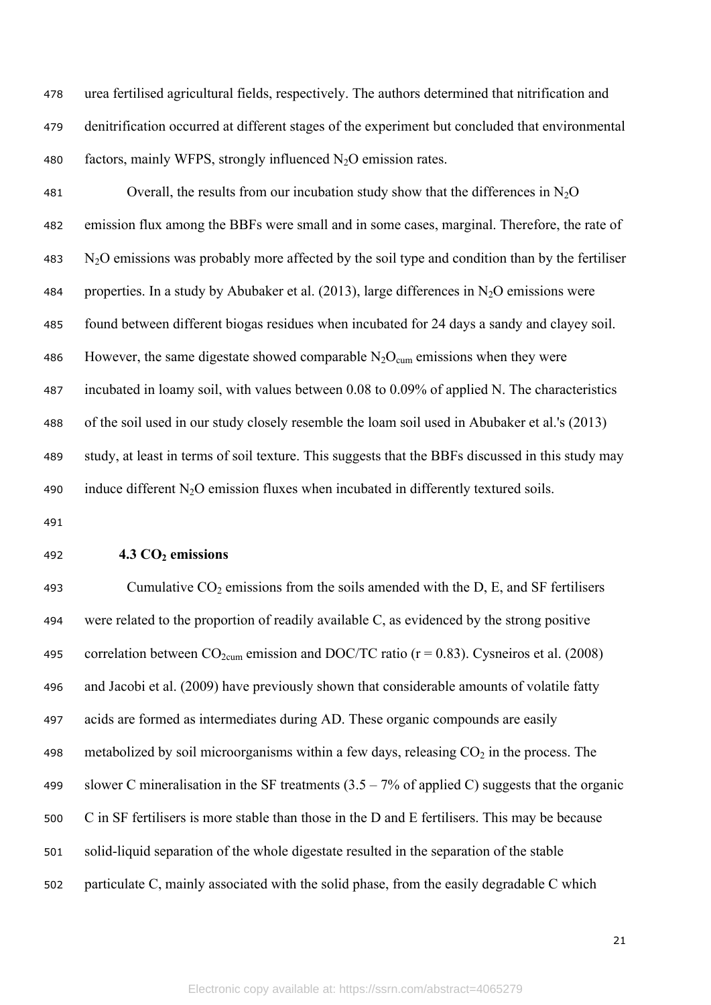urea fertilised agricultural fields, respectively. The authors determined that nitrification and denitrification occurred at different stages of the experiment but concluded that environmental 480 factors, mainly WFPS, strongly influenced  $N_2O$  emission rates.

481 Overall, the results from our incubation study show that the differences in  $N_2O$  emission flux among the BBFs were small and in some cases, marginal. Therefore, the rate of N2O emissions was probably more affected by the soil type and condition than by the fertiliser 484 properties. In a study by Abubaker et al. (2013), large differences in  $N_2O$  emissions were found between different biogas residues when incubated for 24 days a sandy and clayey soil. 486 However, the same digestate showed comparable  $N_2O_{\text{cum}}$  emissions when they were incubated in loamy soil, with values between 0.08 to 0.09% of applied N. The characteristics of the soil used in our study closely resemble the loam soil used in Abubaker et al.'s (2013) study, at least in terms of soil texture. This suggests that the BBFs discussed in this study may 490 induce different  $N_2O$  emission fluxes when incubated in differently textured soils.

#### **4.3 CO2 emissions**

493 Cumulative  $CO_2$  emissions from the soils amended with the D, E, and SF fertilisers were related to the proportion of readily available C, as evidenced by the strong positive 495 correlation between  $CO_{2\text{cum}}$  emission and DOC/TC ratio ( $r = 0.83$ ). Cysneiros et al. (2008) and Jacobi et al. (2009) have previously shown that considerable amounts of volatile fatty acids are formed as intermediates during AD. These organic compounds are easily 498 metabolized by soil microorganisms within a few days, releasing  $CO<sub>2</sub>$  in the process. The 499 slower C mineralisation in the SF treatments  $(3.5 - 7\%$  of applied C) suggests that the organic C in SF fertilisers is more stable than those in the D and E fertilisers. This may be because solid-liquid separation of the whole digestate resulted in the separation of the stable particulate C, mainly associated with the solid phase, from the easily degradable C which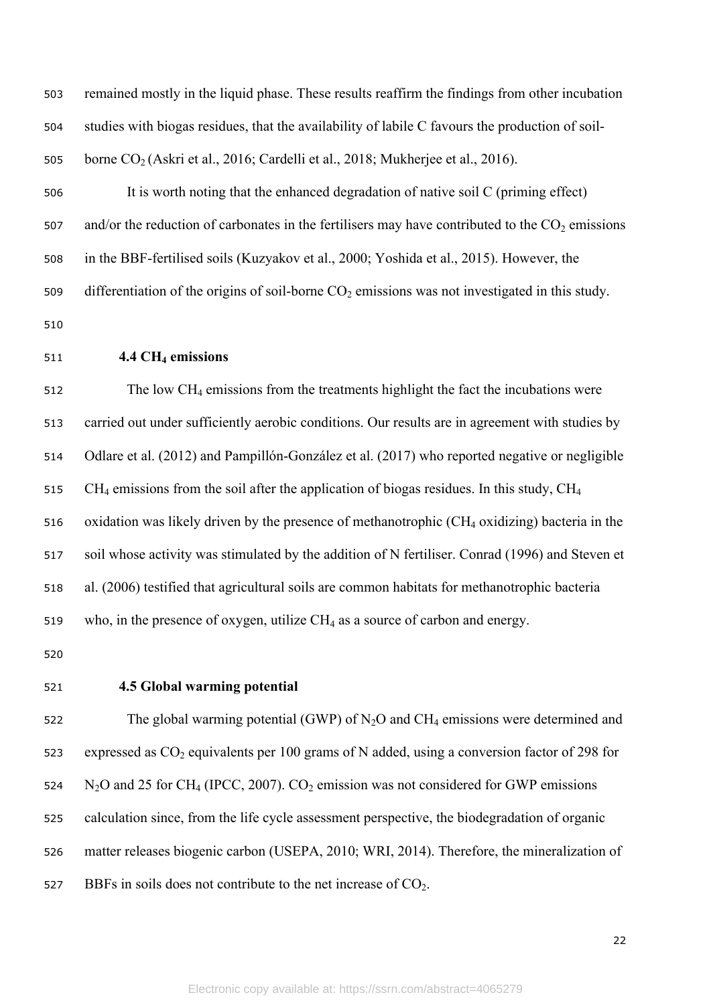503 remained mostly in the liquid phase. These results reaffirm the findings from other incubation 504 studies with biogas residues, that the availability of labile C favours the production of soil-505 borne  $CO<sub>2</sub>$  (Askri et al., 2016; Cardelli et al., 2018; Mukherjee et al., 2016). 506 It is worth noting that the enhanced degradation of native soil C (priming effect) 507 and/or the reduction of carbonates in the fertilisers may have contributed to the  $CO<sub>2</sub>$  emissions 508 in the BBF-fertilised soils (Kuzyakov et al., 2000; Yoshida et al., 2015). However, the 509 differentiation of the origins of soil-borne  $CO<sub>2</sub>$  emissions was not investigated in this study. 510 <sup>511</sup> **4.4 CH4 emissions** <sup>512</sup> The low CH4 emissions from the treatments highlight the fact the incubations were 513 carried out under sufficiently aerobic conditions. Our results are in agreement with studies by 514 Odlare et al. (2012) and Pampillón-González et al. (2017) who reported negative or negligible 515 CH<sub>4</sub> emissions from the soil after the application of biogas residues. In this study, CH<sub>4</sub> 516 oxidation was likely driven by the presence of methanotrophic  $(CH<sub>4</sub> oxidizing)$  bacteria in the 517 soil whose activity was stimulated by the addition of N fertiliser. Conrad (1996) and Steven et 518 al. (2006) testified that agricultural soils are common habitats for methanotrophic bacteria 519 who, in the presence of oxygen, utilize  $CH_4$  as a source of carbon and energy. 520

### 521 **4.5 Global warming potential**

522 The global warming potential (GWP) of  $N_2O$  and  $CH_4$  emissions were determined and 523 expressed as  $CO<sub>2</sub>$  equivalents per 100 grams of N added, using a conversion factor of 298 for 524  $N_2$ O and 25 for CH<sub>4</sub> (IPCC, 2007). CO<sub>2</sub> emission was not considered for GWP emissions 525 calculation since, from the life cycle assessment perspective, the biodegradation of organic 526 matter releases biogenic carbon (USEPA, 2010; WRI, 2014). Therefore, the mineralization of 527 BBFs in soils does not contribute to the net increase of  $CO<sub>2</sub>$ .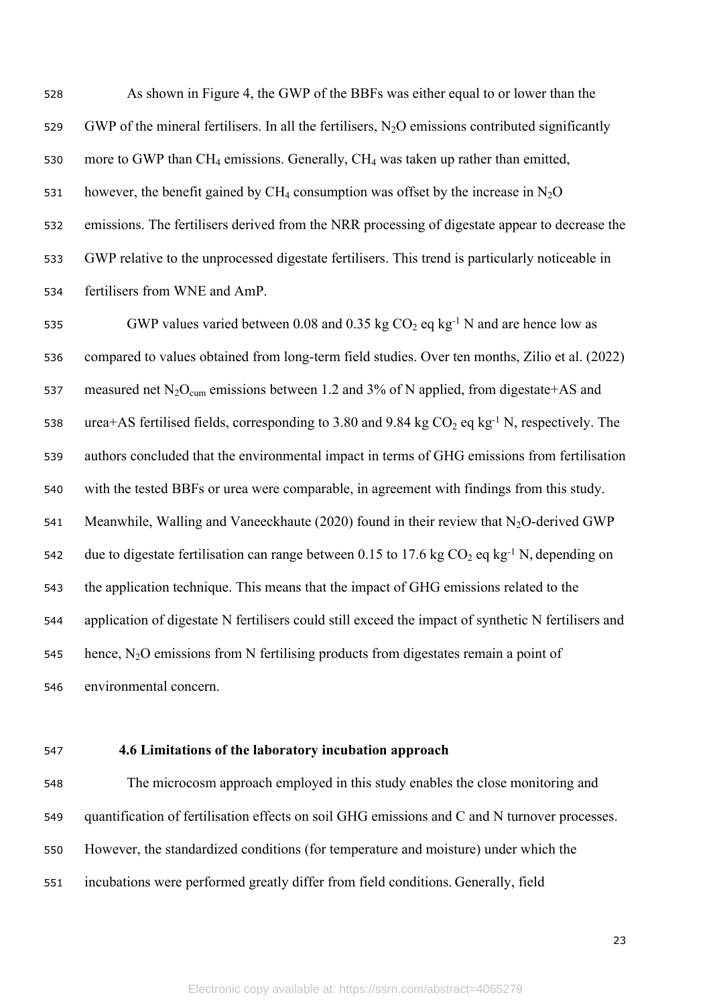As shown in Figure 4, the GWP of the BBFs was either equal to or lower than the 529 GWP of the mineral fertilisers. In all the fertilisers,  $N_2O$  emissions contributed significantly 530 more to GWP than  $CH_4$  emissions. Generally,  $CH_4$  was taken up rather than emitted, 531 however, the benefit gained by  $CH_4$  consumption was offset by the increase in N<sub>2</sub>O emissions. The fertilisers derived from the NRR processing of digestate appear to decrease the GWP relative to the unprocessed digestate fertilisers. This trend is particularly noticeable in fertilisers from WNE and AmP.

535 GWP values varied between 0.08 and 0.35 kg  $CO_2$  eq kg<sup>-1</sup> N and are hence low as compared to values obtained from long-term field studies. Over ten months, Zilio et al. (2022) 537 measured net  $N_2O_{\text{cum}}$  emissions between 1.2 and 3% of N applied, from digestate+AS and 538 urea+AS fertilised fields, corresponding to 3.80 and 9.84 kg  $CO_2$  eq kg<sup>-1</sup> N, respectively. The authors concluded that the environmental impact in terms of GHG emissions from fertilisation with the tested BBFs or urea were comparable, in agreement with findings from this study. 541 Meanwhile, Walling and Vaneeckhaute (2020) found in their review that  $N_2O$ -derived GWP 542 due to digestate fertilisation can range between 0.15 to 17.6 kg  $CO_2$  eq kg<sup>-1</sup> N, depending on the application technique. This means that the impact of GHG emissions related to the application of digestate N fertilisers could still exceed the impact of synthetic N fertilisers and 545 hence,  $N_2O$  emissions from N fertilising products from digestates remain a point of environmental concern.

# **4.6 Limitations of the laboratory incubation approach**

 The microcosm approach employed in this study enables the close monitoring and quantification of fertilisation effects on soil GHG emissions and C and N turnover processes. However, the standardized conditions (for temperature and moisture) under which the incubations were performed greatly differ from field conditions. Generally, field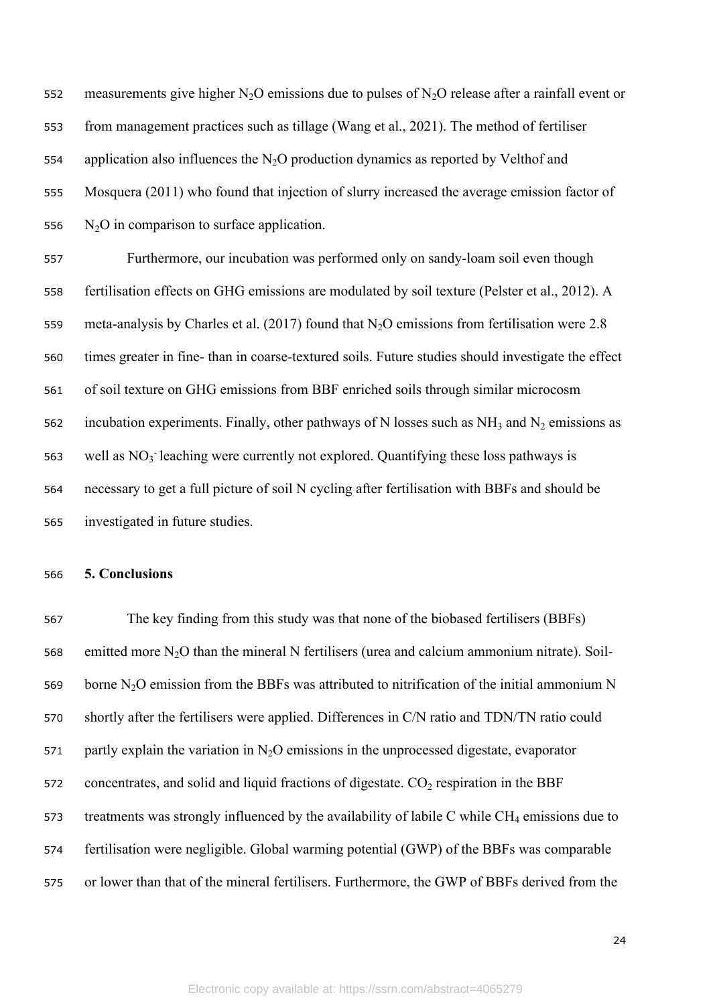552 measurements give higher  $N_2O$  emissions due to pulses of  $N_2O$  release after a rainfall event or 553 from management practices such as tillage (Wang et al., 2021). The method of fertiliser 554 application also influences the N<sub>2</sub>O production dynamics as reported by Velthof and 555 Mosquera (2011) who found that injection of slurry increased the average emission factor of 556  $N_2O$  in comparison to surface application.

 Furthermore, our incubation was performed only on sandy-loam soil even though fertilisation effects on GHG emissions are modulated by soil texture (Pelster et al., 2012). A 559 meta-analysis by Charles et al. (2017) found that  $N_2O$  emissions from fertilisation were 2.8 times greater in fine- than in coarse-textured soils. Future studies should investigate the effect of soil texture on GHG emissions from BBF enriched soils through similar microcosm 562 incubation experiments. Finally, other pathways of N losses such as  $NH_3$  and  $N_2$  emissions as 563 well as  $NO_3$  leaching were currently not explored. Quantifying these loss pathways is necessary to get a full picture of soil N cycling after fertilisation with BBFs and should be investigated in future studies.

### 566 **5. Conclusions**

567 The key finding from this study was that none of the biobased fertilisers (BBFs) 568 emitted more  $N_2O$  than the mineral N fertilisers (urea and calcium ammonium nitrate). Soil-569 borne  $N_2O$  emission from the BBFs was attributed to nitrification of the initial ammonium N 570 shortly after the fertilisers were applied. Differences in C/N ratio and TDN/TN ratio could 571 partly explain the variation in  $N<sub>2</sub>O$  emissions in the unprocessed digestate, evaporator 572 concentrates, and solid and liquid fractions of digestate.  $CO<sub>2</sub>$  respiration in the BBF 573 treatments was strongly influenced by the availability of labile C while  $CH_4$  emissions due to 574 fertilisation were negligible. Global warming potential (GWP) of the BBFs was comparable 575 or lower than that of the mineral fertilisers. Furthermore, the GWP of BBFs derived from the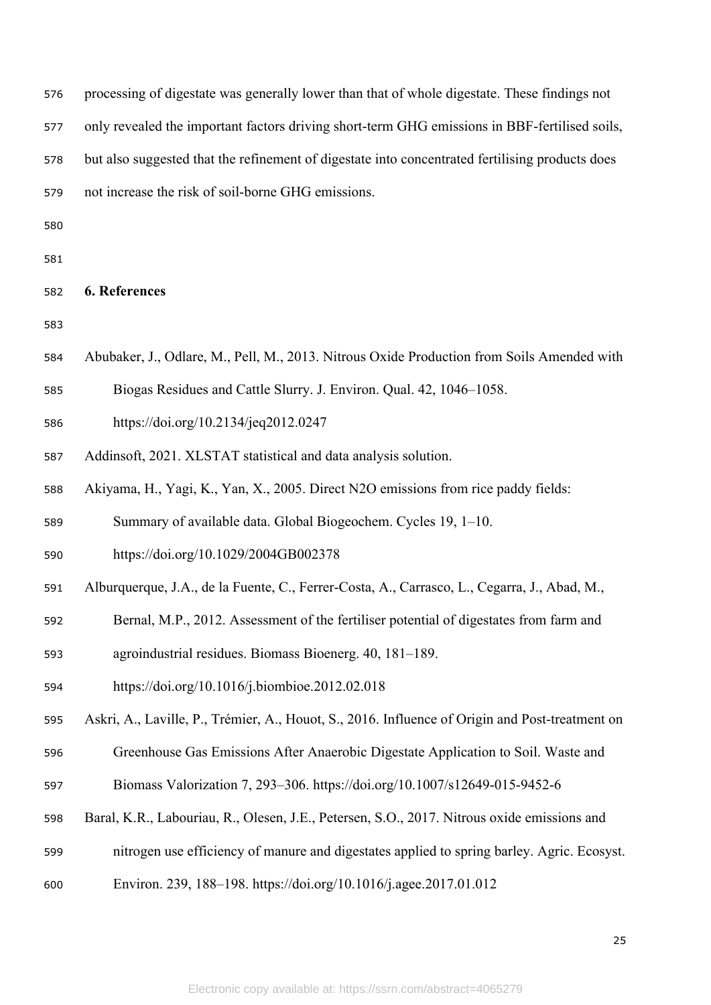| 576 | processing of digestate was generally lower than that of whole digestate. These findings not    |
|-----|-------------------------------------------------------------------------------------------------|
| 577 | only revealed the important factors driving short-term GHG emissions in BBF-fertilised soils,   |
| 578 | but also suggested that the refinement of digestate into concentrated fertilising products does |
| 579 | not increase the risk of soil-borne GHG emissions.                                              |
| 580 |                                                                                                 |
| 581 |                                                                                                 |
| 582 | 6. References                                                                                   |
| 583 |                                                                                                 |
| 584 | Abubaker, J., Odlare, M., Pell, M., 2013. Nitrous Oxide Production from Soils Amended with      |
| 585 | Biogas Residues and Cattle Slurry. J. Environ. Qual. 42, 1046–1058.                             |
| 586 | https://doi.org/10.2134/jeq2012.0247                                                            |
| 587 | Addinsoft, 2021. XLSTAT statistical and data analysis solution.                                 |
| 588 | Akiyama, H., Yagi, K., Yan, X., 2005. Direct N2O emissions from rice paddy fields:              |
| 589 | Summary of available data. Global Biogeochem. Cycles 19, 1–10.                                  |
| 590 | https://doi.org/10.1029/2004GB002378                                                            |
| 591 | Alburquerque, J.A., de la Fuente, C., Ferrer-Costa, A., Carrasco, L., Cegarra, J., Abad, M.,    |
| 592 | Bernal, M.P., 2012. Assessment of the fertiliser potential of digestates from farm and          |
| 593 | agroindustrial residues. Biomass Bioenerg. 40, 181-189.                                         |
| 594 | https://doi.org/10.1016/j.biombioe.2012.02.018                                                  |
| 595 | Askri, A., Laville, P., Trémier, A., Houot, S., 2016. Influence of Origin and Post-treatment on |
| 596 | Greenhouse Gas Emissions After Anaerobic Digestate Application to Soil. Waste and               |
| 597 | Biomass Valorization 7, 293-306. https://doi.org/10.1007/s12649-015-9452-6                      |
| 598 | Baral, K.R., Labouriau, R., Olesen, J.E., Petersen, S.O., 2017. Nitrous oxide emissions and     |
| 599 | nitrogen use efficiency of manure and digestates applied to spring barley. Agric. Ecosyst.      |
| 600 | Environ. 239, 188–198. https://doi.org/10.1016/j.agee.2017.01.012                               |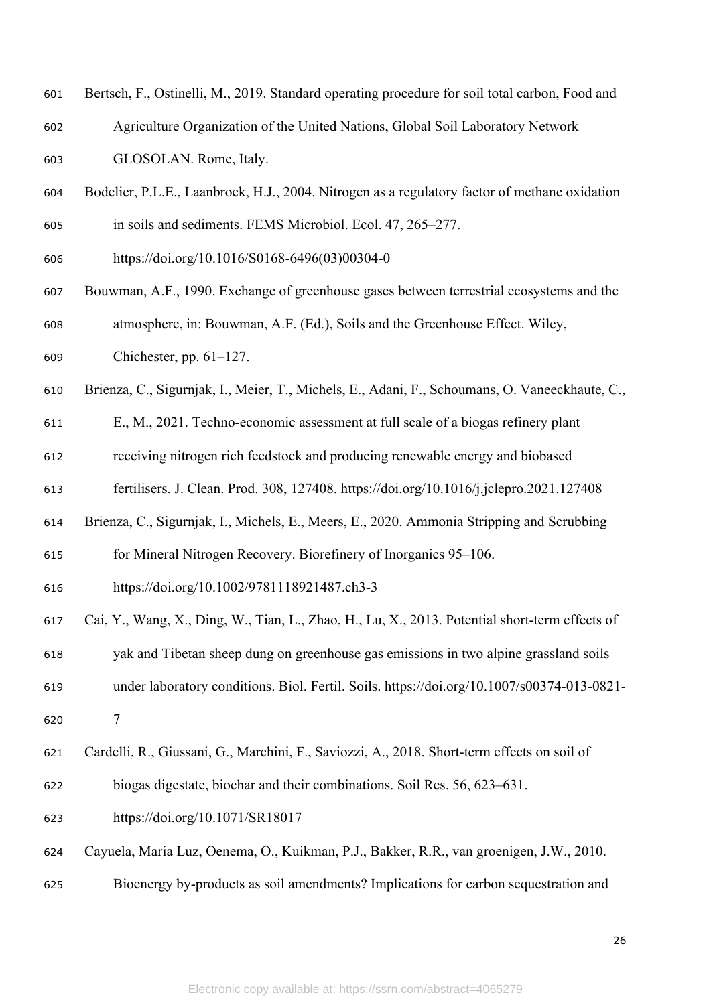- Bertsch, F., Ostinelli, M., 2019. Standard operating procedure for soil total carbon, Food and Agriculture Organization of the United Nations, Global Soil Laboratory Network GLOSOLAN. Rome, Italy.
- Bodelier, P.L.E., Laanbroek, H.J., 2004. Nitrogen as a regulatory factor of methane oxidation in soils and sediments. FEMS Microbiol. Ecol. 47, 265–277.
- https://doi.org/10.1016/S0168-6496(03)00304-0
- Bouwman, A.F., 1990. Exchange of greenhouse gases between terrestrial ecosystems and the atmosphere, in: Bouwman, A.F. (Ed.), Soils and the Greenhouse Effect. Wiley,
- Chichester, pp. 61–127.
- Brienza, C., Sigurnjak, I., Meier, T., Michels, E., Adani, F., Schoumans, O. Vaneeckhaute, C.,
- E., M., 2021. Techno-economic assessment at full scale of a biogas refinery plant
- receiving nitrogen rich feedstock and producing renewable energy and biobased
- fertilisers. J. Clean. Prod. 308, 127408. https://doi.org/10.1016/j.jclepro.2021.127408
- Brienza, C., Sigurnjak, I., Michels, E., Meers, E., 2020. Ammonia Stripping and Scrubbing
- for Mineral Nitrogen Recovery. Biorefinery of Inorganics 95–106.
- https://doi.org/10.1002/9781118921487.ch3-3
- Cai, Y., Wang, X., Ding, W., Tian, L., Zhao, H., Lu, X., 2013. Potential short-term effects of
- yak and Tibetan sheep dung on greenhouse gas emissions in two alpine grassland soils
- under laboratory conditions. Biol. Fertil. Soils. https://doi.org/10.1007/s00374-013-0821- 7
- Cardelli, R., Giussani, G., Marchini, F., Saviozzi, A., 2018. Short-term effects on soil of
- biogas digestate, biochar and their combinations. Soil Res. 56, 623–631.
- https://doi.org/10.1071/SR18017
- Cayuela, Maria Luz, Oenema, O., Kuikman, P.J., Bakker, R.R., van groenigen, J.W., 2010.
- Bioenergy by-products as soil amendments? Implications for carbon sequestration and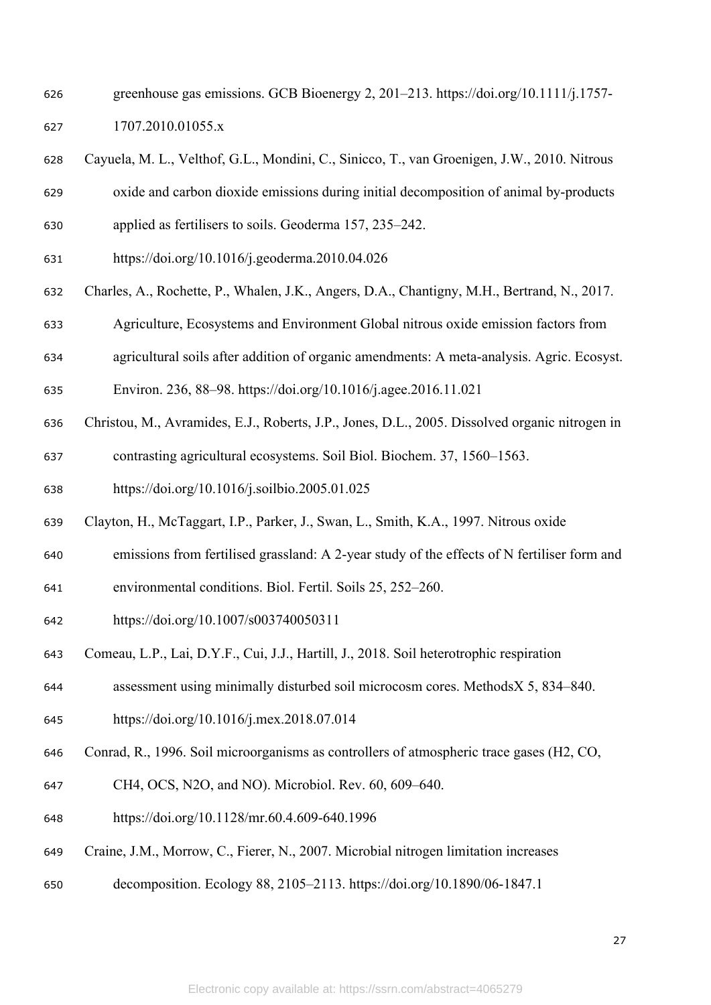- greenhouse gas emissions. GCB Bioenergy 2, 201–213. https://doi.org/10.1111/j.1757- 1707.2010.01055.x
- Cayuela, M. L., Velthof, G.L., Mondini, C., Sinicco, T., van Groenigen, J.W., 2010. Nitrous
- oxide and carbon dioxide emissions during initial decomposition of animal by-products
- applied as fertilisers to soils. Geoderma 157, 235–242.
- https://doi.org/10.1016/j.geoderma.2010.04.026
- Charles, A., Rochette, P., Whalen, J.K., Angers, D.A., Chantigny, M.H., Bertrand, N., 2017.
- Agriculture, Ecosystems and Environment Global nitrous oxide emission factors from
- agricultural soils after addition of organic amendments: A meta-analysis. Agric. Ecosyst.
- Environ. 236, 88–98. https://doi.org/10.1016/j.agee.2016.11.021
- Christou, M., Avramides, E.J., Roberts, J.P., Jones, D.L., 2005. Dissolved organic nitrogen in
- contrasting agricultural ecosystems. Soil Biol. Biochem. 37, 1560–1563.
- https://doi.org/10.1016/j.soilbio.2005.01.025
- Clayton, H., McTaggart, I.P., Parker, J., Swan, L., Smith, K.A., 1997. Nitrous oxide
- emissions from fertilised grassland: A 2-year study of the effects of N fertiliser form and
- environmental conditions. Biol. Fertil. Soils 25, 252–260.
- https://doi.org/10.1007/s003740050311
- Comeau, L.P., Lai, D.Y.F., Cui, J.J., Hartill, J., 2018. Soil heterotrophic respiration
- assessment using minimally disturbed soil microcosm cores. MethodsX 5, 834–840.
- https://doi.org/10.1016/j.mex.2018.07.014
- Conrad, R., 1996. Soil microorganisms as controllers of atmospheric trace gases (H2, CO,
- CH4, OCS, N2O, and NO). Microbiol. Rev. 60, 609–640.
- https://doi.org/10.1128/mr.60.4.609-640.1996
- Craine, J.M., Morrow, C., Fierer, N., 2007. Microbial nitrogen limitation increases
- decomposition. Ecology 88, 2105–2113. https://doi.org/10.1890/06-1847.1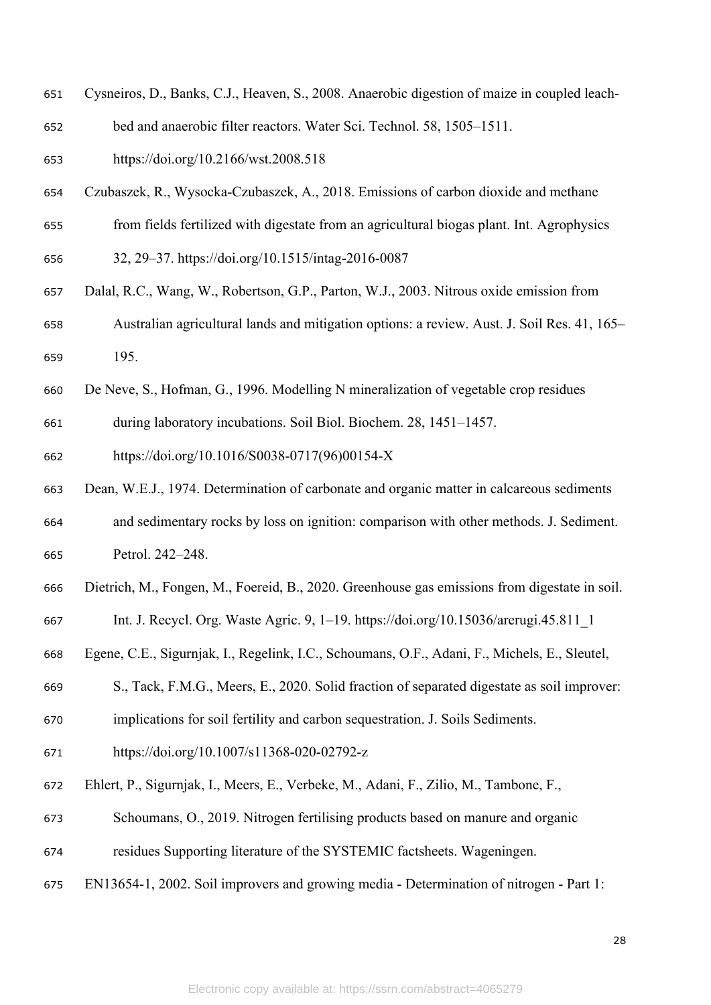- Cysneiros, D., Banks, C.J., Heaven, S., 2008. Anaerobic digestion of maize in coupled leach-
- bed and anaerobic filter reactors. Water Sci. Technol. 58, 1505–1511.
- https://doi.org/10.2166/wst.2008.518
- Czubaszek, R., Wysocka-Czubaszek, A., 2018. Emissions of carbon dioxide and methane
- from fields fertilized with digestate from an agricultural biogas plant. Int. Agrophysics
- 32, 29–37. https://doi.org/10.1515/intag-2016-0087
- Dalal, R.C., Wang, W., Robertson, G.P., Parton, W.J., 2003. Nitrous oxide emission from Australian agricultural lands and mitigation options: a review. Aust. J. Soil Res. 41, 165– 195.
- De Neve, S., Hofman, G., 1996. Modelling N mineralization of vegetable crop residues
- during laboratory incubations. Soil Biol. Biochem. 28, 1451–1457.

https://doi.org/10.1016/S0038-0717(96)00154-X

- Dean, W.E.J., 1974. Determination of carbonate and organic matter in calcareous sediments and sedimentary rocks by loss on ignition: comparison with other methods. J. Sediment. Petrol. 242–248.
- Dietrich, M., Fongen, M., Foereid, B., 2020. Greenhouse gas emissions from digestate in soil.
- Int. J. Recycl. Org. Waste Agric. 9, 1–19. https://doi.org/10.15036/arerugi.45.811\_1
- Egene, C.E., Sigurnjak, I., Regelink, I.C., Schoumans, O.F., Adani, F., Michels, E., Sleutel,
- S., Tack, F.M.G., Meers, E., 2020. Solid fraction of separated digestate as soil improver:
- implications for soil fertility and carbon sequestration. J. Soils Sediments.
- https://doi.org/10.1007/s11368-020-02792-z
- Ehlert, P., Sigurnjak, I., Meers, E., Verbeke, M., Adani, F., Zilio, M., Tambone, F.,
- Schoumans, O., 2019. Nitrogen fertilising products based on manure and organic
- residues Supporting literature of the SYSTEMIC factsheets. Wageningen.
- EN13654-1, 2002. Soil improvers and growing media Determination of nitrogen Part 1: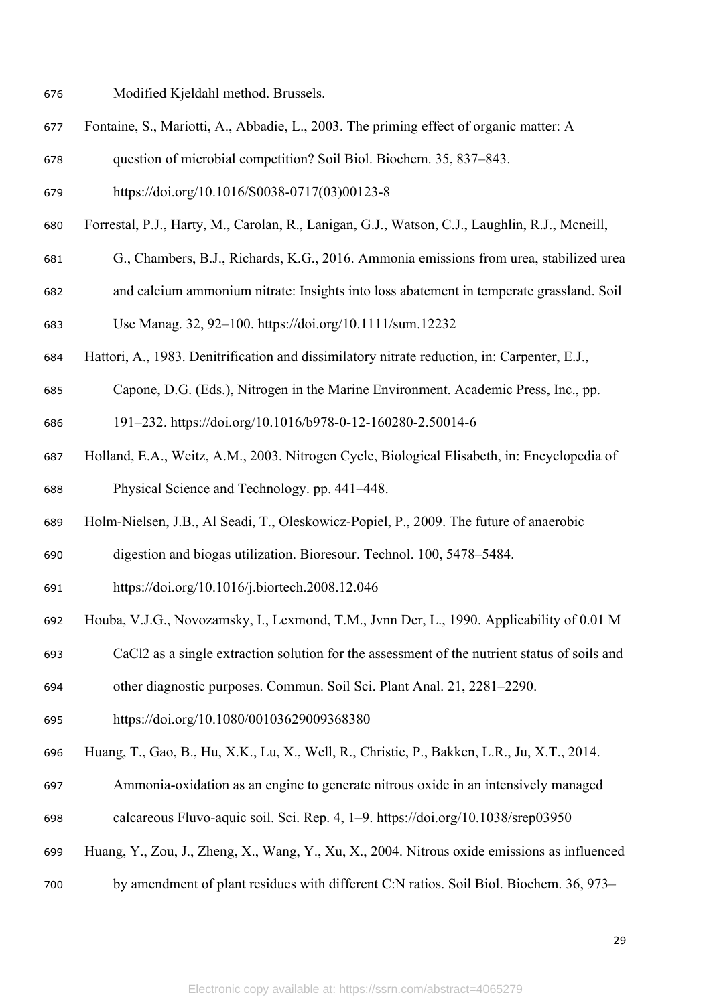- Modified Kjeldahl method. Brussels.
- Fontaine, S., Mariotti, A., Abbadie, L., 2003. The priming effect of organic matter: A
- question of microbial competition? Soil Biol. Biochem. 35, 837–843.
- https://doi.org/10.1016/S0038-0717(03)00123-8
- Forrestal, P.J., Harty, M., Carolan, R., Lanigan, G.J., Watson, C.J., Laughlin, R.J., Mcneill,
- G., Chambers, B.J., Richards, K.G., 2016. Ammonia emissions from urea, stabilized urea
- and calcium ammonium nitrate: Insights into loss abatement in temperate grassland. Soil
- Use Manag. 32, 92–100. https://doi.org/10.1111/sum.12232
- Hattori, A., 1983. Denitrification and dissimilatory nitrate reduction, in: Carpenter, E.J.,
- Capone, D.G. (Eds.), Nitrogen in the Marine Environment. Academic Press, Inc., pp.
- 191–232. https://doi.org/10.1016/b978-0-12-160280-2.50014-6
- Holland, E.A., Weitz, A.M., 2003. Nitrogen Cycle, Biological Elisabeth, in: Encyclopedia of Physical Science and Technology. pp. 441–448.
- Holm-Nielsen, J.B., Al Seadi, T., Oleskowicz-Popiel, P., 2009. The future of anaerobic
- digestion and biogas utilization. Bioresour. Technol. 100, 5478–5484.
- https://doi.org/10.1016/j.biortech.2008.12.046
- Houba, V.J.G., Novozamsky, I., Lexmond, T.M., Jvnn Der, L., 1990. Applicability of 0.01 M
- CaCl2 as a single extraction solution for the assessment of the nutrient status of soils and
- other diagnostic purposes. Commun. Soil Sci. Plant Anal. 21, 2281–2290.
- https://doi.org/10.1080/00103629009368380
- Huang, T., Gao, B., Hu, X.K., Lu, X., Well, R., Christie, P., Bakken, L.R., Ju, X.T., 2014.
- Ammonia-oxidation as an engine to generate nitrous oxide in an intensively managed
- calcareous Fluvo-aquic soil. Sci. Rep. 4, 1–9. https://doi.org/10.1038/srep03950
- Huang, Y., Zou, J., Zheng, X., Wang, Y., Xu, X., 2004. Nitrous oxide emissions as influenced
- by amendment of plant residues with different C:N ratios. Soil Biol. Biochem. 36, 973–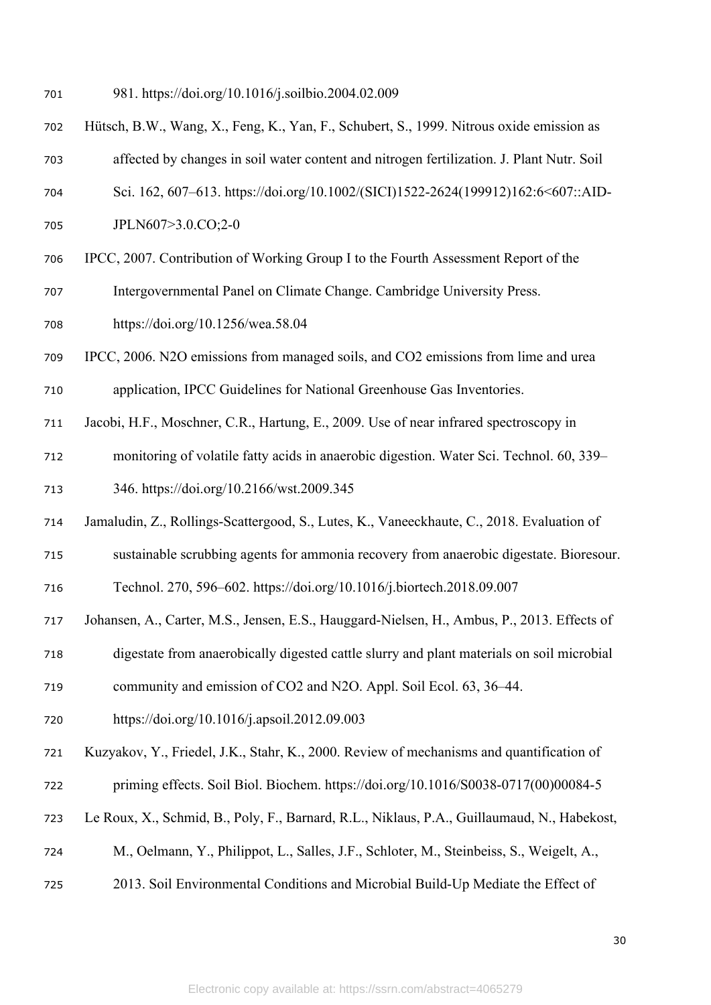- 981. https://doi.org/10.1016/j.soilbio.2004.02.009
- Hütsch, B.W., Wang, X., Feng, K., Yan, F., Schubert, S., 1999. Nitrous oxide emission as
- affected by changes in soil water content and nitrogen fertilization. J. Plant Nutr. Soil
- Sci. 162, 607–613. https://doi.org/10.1002/(SICI)1522-2624(199912)162:6<607::AID-
- JPLN607>3.0.CO;2-0
- IPCC, 2007. Contribution of Working Group I to the Fourth Assessment Report of the
- Intergovernmental Panel on Climate Change. Cambridge University Press.
- https://doi.org/10.1256/wea.58.04
- IPCC, 2006. N2O emissions from managed soils, and CO2 emissions from lime and urea
- application, IPCC Guidelines for National Greenhouse Gas Inventories.
- Jacobi, H.F., Moschner, C.R., Hartung, E., 2009. Use of near infrared spectroscopy in
- monitoring of volatile fatty acids in anaerobic digestion. Water Sci. Technol. 60, 339–
- 346. https://doi.org/10.2166/wst.2009.345
- Jamaludin, Z., Rollings-Scattergood, S., Lutes, K., Vaneeckhaute, C., 2018. Evaluation of
- sustainable scrubbing agents for ammonia recovery from anaerobic digestate. Bioresour.

Technol. 270, 596–602. https://doi.org/10.1016/j.biortech.2018.09.007

- Johansen, A., Carter, M.S., Jensen, E.S., Hauggard-Nielsen, H., Ambus, P., 2013. Effects of
- digestate from anaerobically digested cattle slurry and plant materials on soil microbial
- community and emission of CO2 and N2O. Appl. Soil Ecol. 63, 36–44.
- https://doi.org/10.1016/j.apsoil.2012.09.003
- Kuzyakov, Y., Friedel, J.K., Stahr, K., 2000. Review of mechanisms and quantification of priming effects. Soil Biol. Biochem. https://doi.org/10.1016/S0038-0717(00)00084-5
- Le Roux, X., Schmid, B., Poly, F., Barnard, R.L., Niklaus, P.A., Guillaumaud, N., Habekost,
- M., Oelmann, Y., Philippot, L., Salles, J.F., Schloter, M., Steinbeiss, S., Weigelt, A.,
- 2013. Soil Environmental Conditions and Microbial Build-Up Mediate the Effect of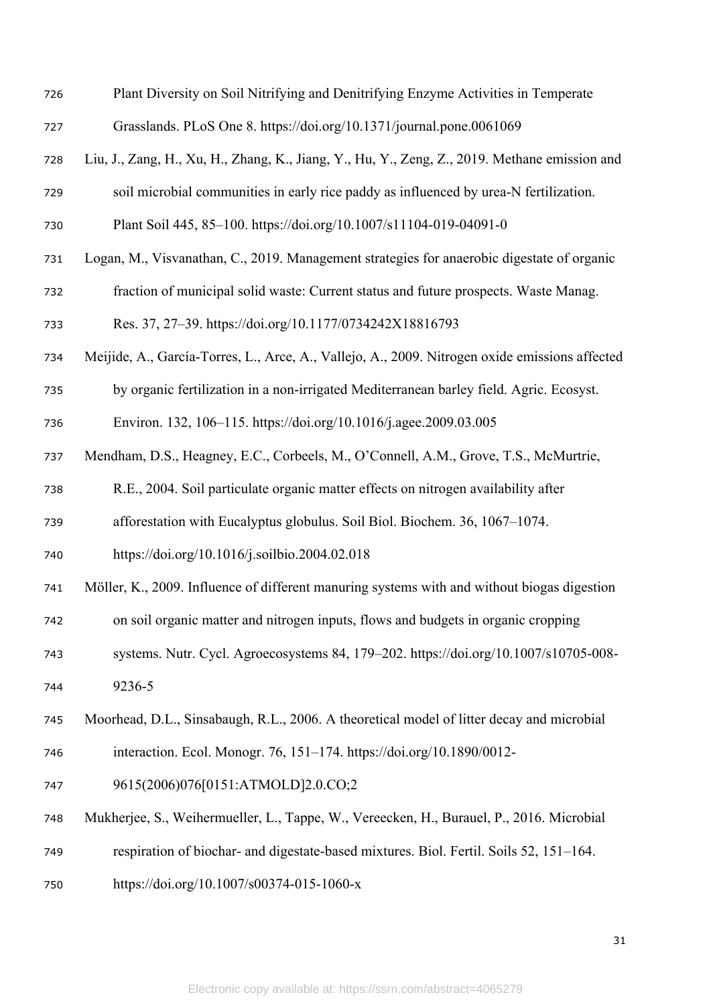| 726 | Plant Diversity on Soil Nitrifying and Denitrifying Enzyme Activities in Temperate             |
|-----|------------------------------------------------------------------------------------------------|
| 727 | Grasslands. PLoS One 8. https://doi.org/10.1371/journal.pone.0061069                           |
| 728 | Liu, J., Zang, H., Xu, H., Zhang, K., Jiang, Y., Hu, Y., Zeng, Z., 2019. Methane emission and  |
| 729 | soil microbial communities in early rice paddy as influenced by urea-N fertilization.          |
| 730 | Plant Soil 445, 85-100. https://doi.org/10.1007/s11104-019-04091-0                             |
| 731 | Logan, M., Visvanathan, C., 2019. Management strategies for anaerobic digestate of organic     |
| 732 | fraction of municipal solid waste: Current status and future prospects. Waste Manag.           |
| 733 | Res. 37, 27-39. https://doi.org/10.1177/0734242X18816793                                       |
| 734 | Meijide, A., García-Torres, L., Arce, A., Vallejo, A., 2009. Nitrogen oxide emissions affected |
| 735 | by organic fertilization in a non-irrigated Mediterranean barley field. Agric. Ecosyst.        |
| 736 | Environ. 132, 106-115. https://doi.org/10.1016/j.agee.2009.03.005                              |
| 737 | Mendham, D.S., Heagney, E.C., Corbeels, M., O'Connell, A.M., Grove, T.S., McMurtrie,           |
| 738 | R.E., 2004. Soil particulate organic matter effects on nitrogen availability after             |
| 739 | afforestation with Eucalyptus globulus. Soil Biol. Biochem. 36, 1067-1074.                     |
| 740 | https://doi.org/10.1016/j.soilbio.2004.02.018                                                  |
| 741 | Möller, K., 2009. Influence of different manuring systems with and without biogas digestion    |
| 742 | on soil organic matter and nitrogen inputs, flows and budgets in organic cropping              |
| 743 | systems. Nutr. Cycl. Agroecosystems 84, 179–202. https://doi.org/10.1007/s10705-008-           |
| 744 | 9236-5                                                                                         |
| 745 | Moorhead, D.L., Sinsabaugh, R.L., 2006. A theoretical model of litter decay and microbial      |
| 746 | interaction. Ecol. Monogr. 76, 151-174. https://doi.org/10.1890/0012-                          |
| 747 | 9615(2006)076[0151:ATMOLD]2.0.CO;2                                                             |
| 748 | Mukherjee, S., Weihermueller, L., Tappe, W., Vereecken, H., Burauel, P., 2016. Microbial       |
| 749 | respiration of biochar- and digestate-based mixtures. Biol. Fertil. Soils 52, 151–164.         |
| 750 | https://doi.org/10.1007/s00374-015-1060-x                                                      |
|     |                                                                                                |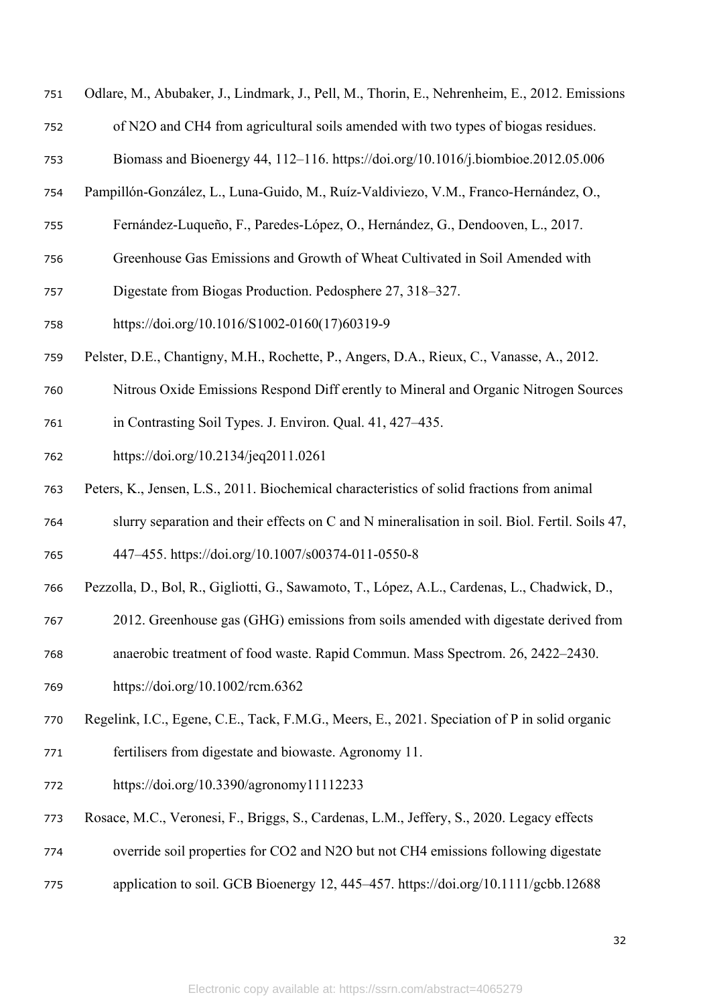| 751 | Odlare, M., Abubaker, J., Lindmark, J., Pell, M., Thorin, E., Nehrenheim, E., 2012. Emissions  |
|-----|------------------------------------------------------------------------------------------------|
| 752 | of N2O and CH4 from agricultural soils amended with two types of biogas residues.              |
| 753 | Biomass and Bioenergy 44, 112-116. https://doi.org/10.1016/j.biombioe.2012.05.006              |
| 754 | Pampillón-González, L., Luna-Guido, M., Ruíz-Valdiviezo, V.M., Franco-Hernández, O.,           |
| 755 | Fernández-Luqueño, F., Paredes-López, O., Hernández, G., Dendooven, L., 2017.                  |
| 756 | Greenhouse Gas Emissions and Growth of Wheat Cultivated in Soil Amended with                   |
| 757 | Digestate from Biogas Production. Pedosphere 27, 318–327.                                      |
| 758 | https://doi.org/10.1016/S1002-0160(17)60319-9                                                  |
| 759 | Pelster, D.E., Chantigny, M.H., Rochette, P., Angers, D.A., Rieux, C., Vanasse, A., 2012.      |
| 760 | Nitrous Oxide Emissions Respond Diff erently to Mineral and Organic Nitrogen Sources           |
| 761 | in Contrasting Soil Types. J. Environ. Qual. 41, 427–435.                                      |
| 762 | https://doi.org/10.2134/jeq2011.0261                                                           |
| 763 | Peters, K., Jensen, L.S., 2011. Biochemical characteristics of solid fractions from animal     |
| 764 | slurry separation and their effects on C and N mineralisation in soil. Biol. Fertil. Soils 47, |
| 765 | 447-455. https://doi.org/10.1007/s00374-011-0550-8                                             |
| 766 | Pezzolla, D., Bol, R., Gigliotti, G., Sawamoto, T., López, A.L., Cardenas, L., Chadwick, D.,   |
| 767 | 2012. Greenhouse gas (GHG) emissions from soils amended with digestate derived from            |
| 768 | anaerobic treatment of food waste. Rapid Commun. Mass Spectrom. 26, 2422–2430.                 |
| 769 | https://doi.org/10.1002/rcm.6362                                                               |
| 770 | Regelink, I.C., Egene, C.E., Tack, F.M.G., Meers, E., 2021. Speciation of P in solid organic   |
| 771 | fertilisers from digestate and biowaste. Agronomy 11.                                          |
| 772 | https://doi.org/10.3390/agronomy11112233                                                       |
| 773 | Rosace, M.C., Veronesi, F., Briggs, S., Cardenas, L.M., Jeffery, S., 2020. Legacy effects      |
| 774 | override soil properties for CO2 and N2O but not CH4 emissions following digestate             |
|     |                                                                                                |

application to soil. GCB Bioenergy 12, 445–457. https://doi.org/10.1111/gcbb.12688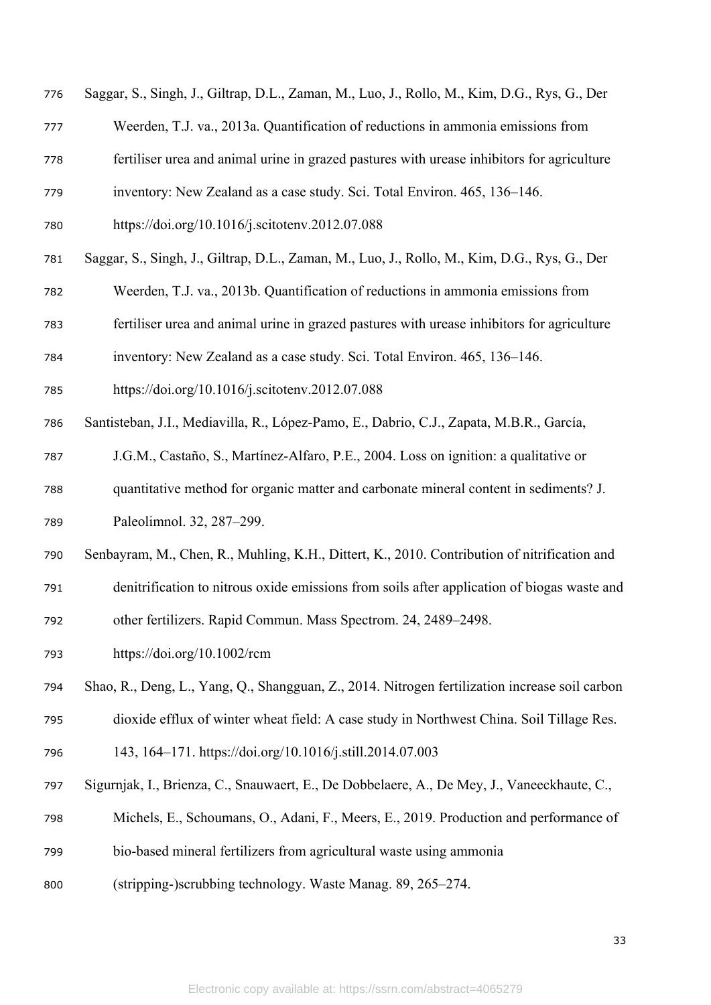- Saggar, S., Singh, J., Giltrap, D.L., Zaman, M., Luo, J., Rollo, M., Kim, D.G., Rys, G., Der
- Weerden, T.J. va., 2013a. Quantification of reductions in ammonia emissions from
- fertiliser urea and animal urine in grazed pastures with urease inhibitors for agriculture
- inventory: New Zealand as a case study. Sci. Total Environ. 465, 136–146.
- https://doi.org/10.1016/j.scitotenv.2012.07.088
- Saggar, S., Singh, J., Giltrap, D.L., Zaman, M., Luo, J., Rollo, M., Kim, D.G., Rys, G., Der
- Weerden, T.J. va., 2013b. Quantification of reductions in ammonia emissions from
- fertiliser urea and animal urine in grazed pastures with urease inhibitors for agriculture
- inventory: New Zealand as a case study. Sci. Total Environ. 465, 136–146.
- https://doi.org/10.1016/j.scitotenv.2012.07.088
- Santisteban, J.I., Mediavilla, R., López-Pamo, E., Dabrio, C.J., Zapata, M.B.R., García,
- J.G.M., Castaño, S., Martínez-Alfaro, P.E., 2004. Loss on ignition: a qualitative or
- quantitative method for organic matter and carbonate mineral content in sediments? J.
- Paleolimnol. 32, 287–299.
- Senbayram, M., Chen, R., Muhling, K.H., Dittert, K., 2010. Contribution of nitrification and
- denitrification to nitrous oxide emissions from soils after application of biogas waste and

other fertilizers. Rapid Commun. Mass Spectrom. 24, 2489–2498.

- https://doi.org/10.1002/rcm
- Shao, R., Deng, L., Yang, Q., Shangguan, Z., 2014. Nitrogen fertilization increase soil carbon
- dioxide efflux of winter wheat field: A case study in Northwest China. Soil Tillage Res.
- 143, 164–171. https://doi.org/10.1016/j.still.2014.07.003
- Sigurnjak, I., Brienza, C., Snauwaert, E., De Dobbelaere, A., De Mey, J., Vaneeckhaute, C.,
- Michels, E., Schoumans, O., Adani, F., Meers, E., 2019. Production and performance of
- bio-based mineral fertilizers from agricultural waste using ammonia
- (stripping-)scrubbing technology. Waste Manag. 89, 265–274.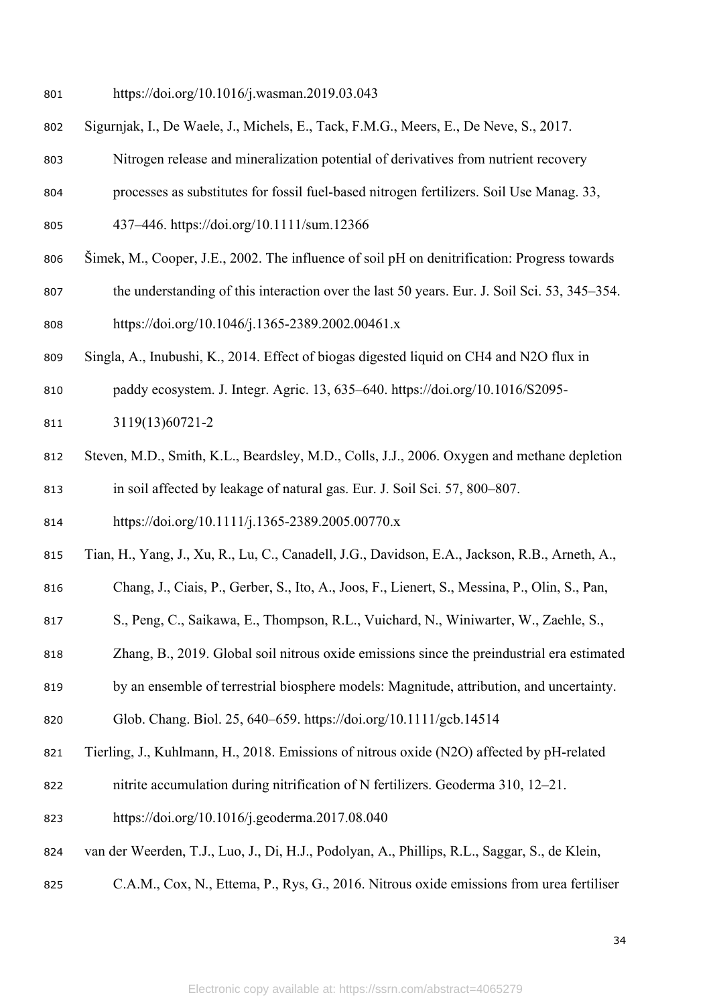- https://doi.org/10.1016/j.wasman.2019.03.043
- Sigurnjak, I., De Waele, J., Michels, E., Tack, F.M.G., Meers, E., De Neve, S., 2017.
- Nitrogen release and mineralization potential of derivatives from nutrient recovery
- processes as substitutes for fossil fuel-based nitrogen fertilizers. Soil Use Manag. 33,
- 437–446. https://doi.org/10.1111/sum.12366
- Šimek, M., Cooper, J.E., 2002. The influence of soil pH on denitrification: Progress towards
- the understanding of this interaction over the last 50 years. Eur. J. Soil Sci. 53, 345–354. https://doi.org/10.1046/j.1365-2389.2002.00461.x
- Singla, A., Inubushi, K., 2014. Effect of biogas digested liquid on CH4 and N2O flux in
- paddy ecosystem. J. Integr. Agric. 13, 635–640. https://doi.org/10.1016/S2095-
- 3119(13)60721-2
- Steven, M.D., Smith, K.L., Beardsley, M.D., Colls, J.J., 2006. Oxygen and methane depletion in soil affected by leakage of natural gas. Eur. J. Soil Sci. 57, 800–807.
- https://doi.org/10.1111/j.1365-2389.2005.00770.x
- Tian, H., Yang, J., Xu, R., Lu, C., Canadell, J.G., Davidson, E.A., Jackson, R.B., Arneth, A.,
- Chang, J., Ciais, P., Gerber, S., Ito, A., Joos, F., Lienert, S., Messina, P., Olin, S., Pan,
- S., Peng, C., Saikawa, E., Thompson, R.L., Vuichard, N., Winiwarter, W., Zaehle, S.,
- Zhang, B., 2019. Global soil nitrous oxide emissions since the preindustrial era estimated
- by an ensemble of terrestrial biosphere models: Magnitude, attribution, and uncertainty.
- Glob. Chang. Biol. 25, 640–659. https://doi.org/10.1111/gcb.14514
- Tierling, J., Kuhlmann, H., 2018. Emissions of nitrous oxide (N2O) affected by pH-related
- nitrite accumulation during nitrification of N fertilizers. Geoderma 310, 12–21.
- https://doi.org/10.1016/j.geoderma.2017.08.040
- van der Weerden, T.J., Luo, J., Di, H.J., Podolyan, A., Phillips, R.L., Saggar, S., de Klein,
- C.A.M., Cox, N., Ettema, P., Rys, G., 2016. Nitrous oxide emissions from urea fertiliser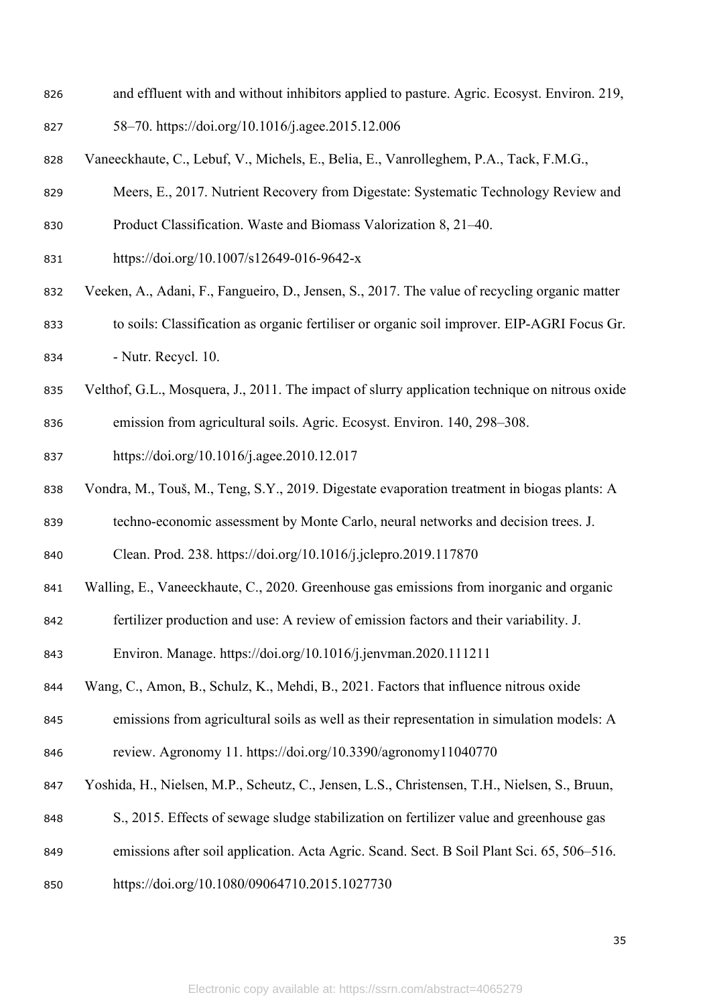- and effluent with and without inhibitors applied to pasture. Agric. Ecosyst. Environ. 219,
- 58–70. https://doi.org/10.1016/j.agee.2015.12.006
- Vaneeckhaute, C., Lebuf, V., Michels, E., Belia, E., Vanrolleghem, P.A., Tack, F.M.G.,
- Meers, E., 2017. Nutrient Recovery from Digestate: Systematic Technology Review and
- Product Classification. Waste and Biomass Valorization 8, 21–40.
- https://doi.org/10.1007/s12649-016-9642-x
- Veeken, A., Adani, F., Fangueiro, D., Jensen, S., 2017. The value of recycling organic matter to soils: Classification as organic fertiliser or organic soil improver. EIP-AGRI Focus Gr. - Nutr. Recycl. 10.
- Velthof, G.L., Mosquera, J., 2011. The impact of slurry application technique on nitrous oxide
- emission from agricultural soils. Agric. Ecosyst. Environ. 140, 298–308.
- https://doi.org/10.1016/j.agee.2010.12.017
- Vondra, M., Touš, M., Teng, S.Y., 2019. Digestate evaporation treatment in biogas plants: A
- techno-economic assessment by Monte Carlo, neural networks and decision trees. J.
- Clean. Prod. 238. https://doi.org/10.1016/j.jclepro.2019.117870
- Walling, E., Vaneeckhaute, C., 2020. Greenhouse gas emissions from inorganic and organic
- fertilizer production and use: A review of emission factors and their variability. J.
- Environ. Manage. https://doi.org/10.1016/j.jenvman.2020.111211
- Wang, C., Amon, B., Schulz, K., Mehdi, B., 2021. Factors that influence nitrous oxide
- emissions from agricultural soils as well as their representation in simulation models: A
- review. Agronomy 11. https://doi.org/10.3390/agronomy11040770
- Yoshida, H., Nielsen, M.P., Scheutz, C., Jensen, L.S., Christensen, T.H., Nielsen, S., Bruun,
- S., 2015. Effects of sewage sludge stabilization on fertilizer value and greenhouse gas
- emissions after soil application. Acta Agric. Scand. Sect. B Soil Plant Sci. 65, 506–516.
- https://doi.org/10.1080/09064710.2015.1027730